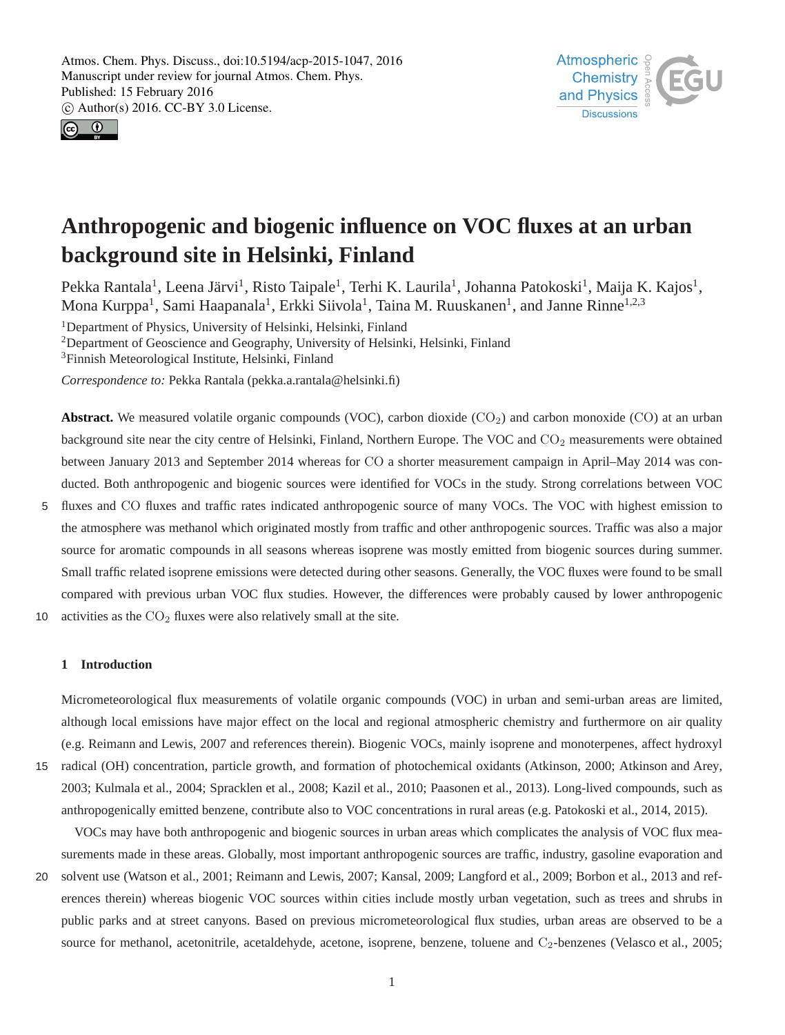



## **Anthropogenic and biogenic influence on VOC fluxes at an urban background site in Helsinki, Finland**

Pekka Rantala<sup>1</sup>, Leena Järvi<sup>1</sup>, Risto Taipale<sup>1</sup>, Terhi K. Laurila<sup>1</sup>, Johanna Patokoski<sup>1</sup>, Maija K. Kajos<sup>1</sup>, Mona Kurppa<sup>1</sup>, Sami Haapanala<sup>1</sup>, Erkki Siivola<sup>1</sup>, Taina M. Ruuskanen<sup>1</sup>, and Janne Rinne<sup>1,2,3</sup>

<sup>1</sup>Department of Physics, University of Helsinki, Helsinki, Finland

<sup>2</sup>Department of Geoscience and Geography, University of Helsinki, Helsinki, Finland

<sup>3</sup>Finnish Meteorological Institute, Helsinki, Finland

*Correspondence to:* Pekka Rantala (pekka.a.rantala@helsinki.fi)

**Abstract.** We measured volatile organic compounds (VOC), carbon dioxide  $(CO_2)$  and carbon monoxide (CO) at an urban background site near the city centre of Helsinki, Finland, Northern Europe. The VOC and  $CO<sub>2</sub>$  measurements were obtained between January 2013 and September 2014 whereas for CO a shorter measurement campaign in April–May 2014 was conducted. Both anthropogenic and biogenic sources were identified for VOCs in the study. Strong correlations between VOC

5 fluxes and CO fluxes and traffic rates indicated anthropogenic source of many VOCs. The VOC with highest emission to the atmosphere was methanol which originated mostly from traffic and other anthropogenic sources. Traffic was also a major source for aromatic compounds in all seasons whereas isoprene was mostly emitted from biogenic sources during summer. Small traffic related isoprene emissions were detected during other seasons. Generally, the VOC fluxes were found to be small compared with previous urban VOC flux studies. However, the differences were probably caused by lower anthropogenic

10 activities as the  $CO<sub>2</sub>$  fluxes were also relatively small at the site.

#### **1 Introduction**

Micrometeorological flux measurements of volatile organic compounds (VOC) in urban and semi-urban areas are limited, although local emissions have major effect on the local and regional atmospheric chemistry and furthermore on air quality (e.g. Reimann and Lewis, 2007 and references therein). Biogenic VOCs, mainly isoprene and monoterpenes, affect hydroxyl 15 radical (OH) concentration, particle growth, and formation of photochemical oxidants (Atkinson, 2000; Atkinson and Arey, 2003; Kulmala et al., 2004; Spracklen et al., 2008; Kazil et al., 2010; Paasonen et al., 2013). Long-lived compounds, such as

anthropogenically emitted benzene, contribute also to VOC concentrations in rural areas (e.g. Patokoski et al., 2014, 2015).

VOCs may have both anthropogenic and biogenic sources in urban areas which complicates the analysis of VOC flux measurements made in these areas. Globally, most important anthropogenic sources are traffic, industry, gasoline evaporation and

20 solvent use (Watson et al., 2001; Reimann and Lewis, 2007; Kansal, 2009; Langford et al., 2009; Borbon et al., 2013 and references therein) whereas biogenic VOC sources within cities include mostly urban vegetation, such as trees and shrubs in public parks and at street canyons. Based on previous micrometeorological flux studies, urban areas are observed to be a source for methanol, acetonitrile, acetaldehyde, acetone, isoprene, benzene, toluene and C<sub>2</sub>-benzenes (Velasco et al., 2005;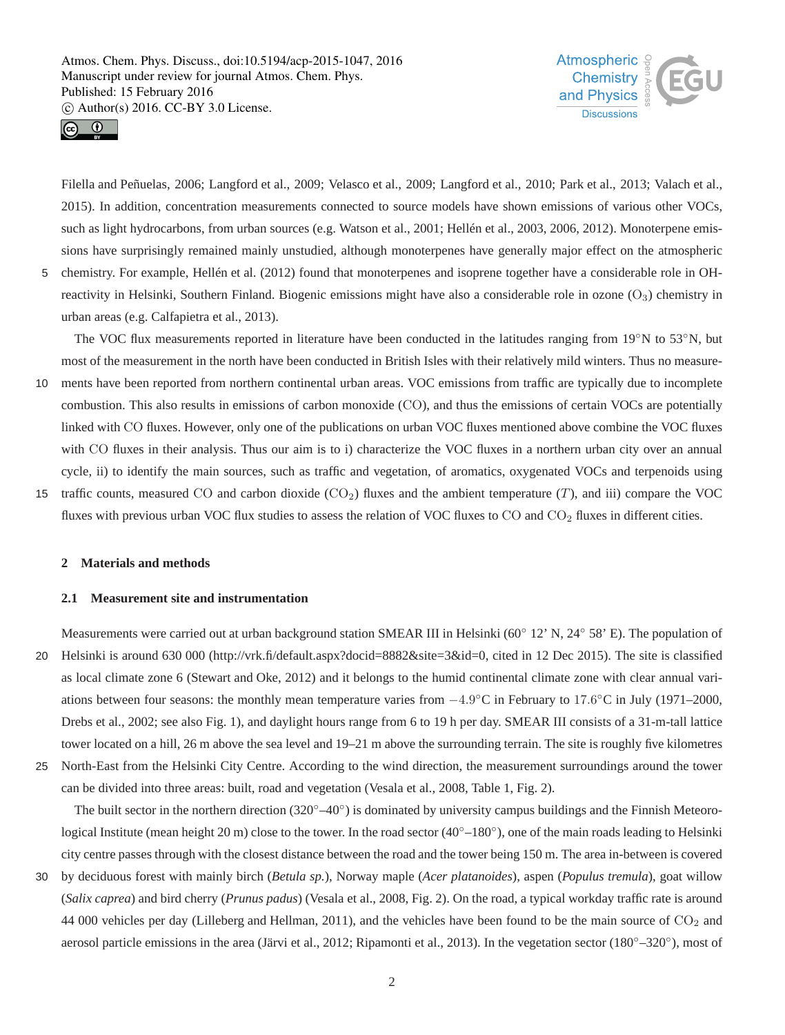



Filella and Peñuelas, 2006; Langford et al., 2009; Velasco et al., 2009; Langford et al., 2010; Park et al., 2013; Valach et al., 2015). In addition, concentration measurements connected to source models have shown emissions of various other VOCs, such as light hydrocarbons, from urban sources (e.g. Watson et al., 2001; Hellén et al., 2003, 2006, 2012). Monoterpene emissions have surprisingly remained mainly unstudied, although monoterpenes have generally major effect on the atmospheric 5 chemistry. For example, Hellén et al. (2012) found that monoterpenes and isoprene together have a considerable role in OH-

reactivity in Helsinki, Southern Finland. Biogenic emissions might have also a considerable role in ozone  $(O_3)$  chemistry in urban areas (e.g. Calfapietra et al., 2013).

The VOC flux measurements reported in literature have been conducted in the latitudes ranging from 19°N to 53°N, but most of the measurement in the north have been conducted in British Isles with their relatively mild winters. Thus no measure-

- 10 ments have been reported from northern continental urban areas. VOC emissions from traffic are typically due to incomplete combustion. This also results in emissions of carbon monoxide (CO), and thus the emissions of certain VOCs are potentially linked with CO fluxes. However, only one of the publications on urban VOC fluxes mentioned above combine the VOC fluxes with CO fluxes in their analysis. Thus our aim is to i) characterize the VOC fluxes in a northern urban city over an annual cycle, ii) to identify the main sources, such as traffic and vegetation, of aromatics, oxygenated VOCs and terpenoids using
- 15 traffic counts, measured CO and carbon dioxide  $(CO_2)$  fluxes and the ambient temperature  $(T)$ , and iii) compare the VOC fluxes with previous urban VOC flux studies to assess the relation of VOC fluxes to  $CO$  and  $CO<sub>2</sub>$  fluxes in different cities.

## **2 Materials and methods**

#### **2.1 Measurement site and instrumentation**

Measurements were carried out at urban background station SMEAR III in Helsinki (60◦ 12' N, 24◦ 58' E). The population of 20 Helsinki is around 630 000 (http://vrk.fi/default.aspx?docid=8882&site=3&id=0, cited in 12 Dec 2015). The site is classified as local climate zone 6 (Stewart and Oke, 2012) and it belongs to the humid continental climate zone with clear annual variations between four seasons: the monthly mean temperature varies from −4.9 ◦C in February to 17.6 ◦C in July (1971–2000, Drebs et al., 2002; see also Fig. 1), and daylight hours range from 6 to 19 h per day. SMEAR III consists of a 31-m-tall lattice tower located on a hill, 26 m above the sea level and 19–21 m above the surrounding terrain. The site is roughly five kilometres 25 North-East from the Helsinki City Centre. According to the wind direction, the measurement surroundings around the tower

can be divided into three areas: built, road and vegetation (Vesala et al., 2008, Table 1, Fig. 2).

The built sector in the northern direction  $(320°-40°)$  is dominated by university campus buildings and the Finnish Meteorological Institute (mean height 20 m) close to the tower. In the road sector (40°−180°), one of the main roads leading to Helsinki city centre passes through with the closest distance between the road and the tower being 150 m. The area in-between is covered

30 by deciduous forest with mainly birch (*Betula sp.*), Norway maple (*Acer platanoides*), aspen (*Populus tremula*), goat willow (*Salix caprea*) and bird cherry (*Prunus padus*) (Vesala et al., 2008, Fig. 2). On the road, a typical workday traffic rate is around 44 000 vehicles per day (Lilleberg and Hellman, 2011), and the vehicles have been found to be the main source of  $CO<sub>2</sub>$  and aerosol particle emissions in the area (Järvi et al., 2012; Ripamonti et al., 2013). In the vegetation sector (180°–320°), most of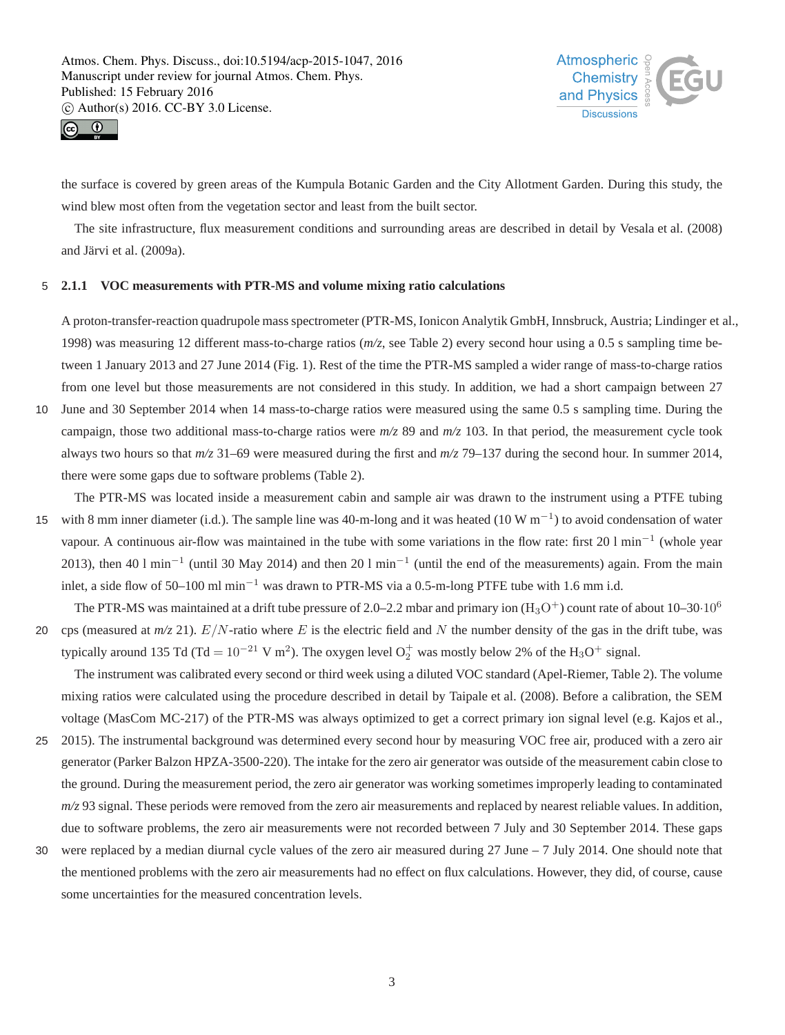



the surface is covered by green areas of the Kumpula Botanic Garden and the City Allotment Garden. During this study, the wind blew most often from the vegetation sector and least from the built sector.

The site infrastructure, flux measurement conditions and surrounding areas are described in detail by Vesala et al. (2008) and Järvi et al. (2009a).

## 5 **2.1.1 VOC measurements with PTR-MS and volume mixing ratio calculations**

A proton-transfer-reaction quadrupole mass spectrometer (PTR-MS, Ionicon Analytik GmbH, Innsbruck, Austria; Lindinger et al., 1998) was measuring 12 different mass-to-charge ratios (*m/z*, see Table 2) every second hour using a 0.5 s sampling time between 1 January 2013 and 27 June 2014 (Fig. 1). Rest of the time the PTR-MS sampled a wider range of mass-to-charge ratios from one level but those measurements are not considered in this study. In addition, we had a short campaign between 27

- 10 June and 30 September 2014 when 14 mass-to-charge ratios were measured using the same 0.5 s sampling time. During the campaign, those two additional mass-to-charge ratios were *m/z* 89 and *m/z* 103. In that period, the measurement cycle took always two hours so that *m/z* 31–69 were measured during the first and *m/z* 79–137 during the second hour. In summer 2014, there were some gaps due to software problems (Table 2).
- The PTR-MS was located inside a measurement cabin and sample air was drawn to the instrument using a PTFE tubing 15 with 8 mm inner diameter (i.d.). The sample line was 40-m-long and it was heated (10 W m<sup>-1</sup>) to avoid condensation of water vapour. A continuous air-flow was maintained in the tube with some variations in the flow rate: first 20 l min<sup>-1</sup> (whole year 2013), then 40 l min<sup>-1</sup> (until 30 May 2014) and then 20 l min<sup>-1</sup> (until the end of the measurements) again. From the main inlet, a side flow of 50–100 ml min<sup>-1</sup> was drawn to PTR-MS via a 0.5-m-long PTFE tube with 1.6 mm i.d.
- The PTR-MS was maintained at a drift tube pressure of 2.0–2.2 mbar and primary ion  $(H_3O^+)$  count rate of about 10–30·10<sup>6</sup> 20 cps (measured at  $m/z$  21).  $E/N$ -ratio where E is the electric field and N the number density of the gas in the drift tube, was typically around 135 Td (Td =  $10^{-21}$  V m<sup>2</sup>). The oxygen level  $O_2^+$  was mostly below 2% of the H<sub>3</sub>O<sup>+</sup> signal.

The instrument was calibrated every second or third week using a diluted VOC standard (Apel-Riemer, Table 2). The volume mixing ratios were calculated using the procedure described in detail by Taipale et al. (2008). Before a calibration, the SEM voltage (MasCom MC-217) of the PTR-MS was always optimized to get a correct primary ion signal level (e.g. Kajos et al.,

- 25 2015). The instrumental background was determined every second hour by measuring VOC free air, produced with a zero air generator (Parker Balzon HPZA-3500-220). The intake for the zero air generator was outside of the measurement cabin close to the ground. During the measurement period, the zero air generator was working sometimes improperly leading to contaminated  $m/z$  93 signal. These periods were removed from the zero air measurements and replaced by nearest reliable values. In addition, due to software problems, the zero air measurements were not recorded between 7 July and 30 September 2014. These gaps
- 30 were replaced by a median diurnal cycle values of the zero air measured during  $27$  June  $-7$  July 2014. One should note that the mentioned problems with the zero air measurements had no effect on flux calculations. However, they did, of course, cause some uncertainties for the measured concentration levels.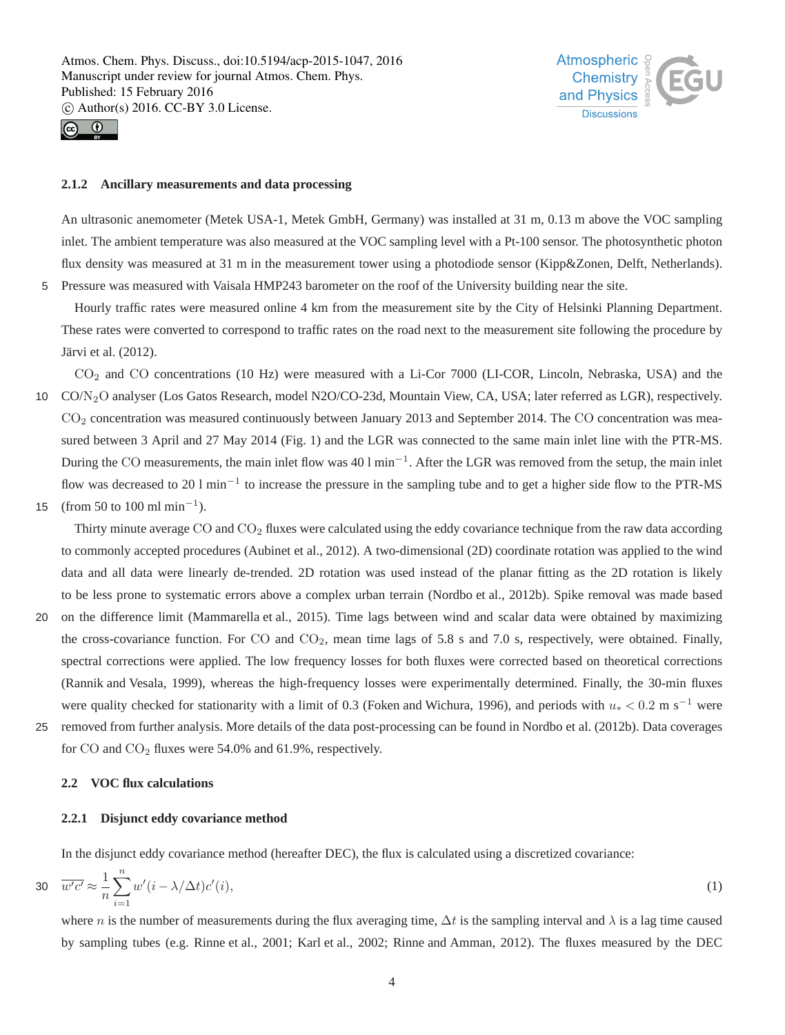



#### **2.1.2 Ancillary measurements and data processing**

An ultrasonic anemometer (Metek USA-1, Metek GmbH, Germany) was installed at 31 m, 0.13 m above the VOC sampling inlet. The ambient temperature was also measured at the VOC sampling level with a Pt-100 sensor. The photosynthetic photon flux density was measured at 31 m in the measurement tower using a photodiode sensor (Kipp&Zonen, Delft, Netherlands). 5 Pressure was measured with Vaisala HMP243 barometer on the roof of the University building near the site.

Hourly traffic rates were measured online 4 km from the measurement site by the City of Helsinki Planning Department. These rates were converted to correspond to traffic rates on the road next to the measurement site following the procedure by Järvi et al. (2012).

CO<sup>2</sup> and CO concentrations (10 Hz) were measured with a Li-Cor 7000 (LI-COR, Lincoln, Nebraska, USA) and the 10 CO/N2O analyser (Los Gatos Research, model N2O/CO-23d, Mountain View, CA, USA; later referred as LGR), respectively. CO<sup>2</sup> concentration was measured continuously between January 2013 and September 2014. The CO concentration was measured between 3 April and 27 May 2014 (Fig. 1) and the LGR was connected to the same main inlet line with the PTR-MS. During the CO measurements, the main inlet flow was 40 l min<sup>-1</sup>. After the LGR was removed from the setup, the main inlet flow was decreased to 20 l min<sup>-1</sup> to increase the pressure in the sampling tube and to get a higher side flow to the PTR-MS 15 (from 50 to 100 ml min<sup>-1</sup>).

Thirty minute average CO and  $CO<sub>2</sub>$  fluxes were calculated using the eddy covariance technique from the raw data according to commonly accepted procedures (Aubinet et al., 2012). A two-dimensional (2D) coordinate rotation was applied to the wind data and all data were linearly de-trended. 2D rotation was used instead of the planar fitting as the 2D rotation is likely to be less prone to systematic errors above a complex urban terrain (Nordbo et al., 2012b). Spike removal was made based

- 20 on the difference limit (Mammarella et al., 2015). Time lags between wind and scalar data were obtained by maximizing the cross-covariance function. For CO and  $CO<sub>2</sub>$ , mean time lags of 5.8 s and 7.0 s, respectively, were obtained. Finally, spectral corrections were applied. The low frequency losses for both fluxes were corrected based on theoretical corrections (Rannik and Vesala, 1999), whereas the high-frequency losses were experimentally determined. Finally, the 30-min fluxes were quality checked for stationarity with a limit of 0.3 (Foken and Wichura, 1996), and periods with  $u_* < 0.2$  m s<sup>-1</sup> were
- 25 removed from further analysis. More details of the data post-processing can be found in Nordbo et al. (2012b). Data coverages for CO and CO<sub>2</sub> fluxes were 54.0% and 61.9%, respectively.

## **2.2 VOC flux calculations**

#### **2.2.1 Disjunct eddy covariance method**

In the disjunct eddy covariance method (hereafter DEC), the flux is calculated using a discretized covariance:

$$
30 \quad \overline{w'c'} \approx \frac{1}{n} \sum_{i=1}^{n} w'(i - \lambda/\Delta t) c'(i),\tag{1}
$$

where n is the number of measurements during the flux averaging time,  $\Delta t$  is the sampling interval and  $\lambda$  is a lag time caused by sampling tubes (e.g. Rinne et al., 2001; Karl et al., 2002; Rinne and Amman, 2012). The fluxes measured by the DEC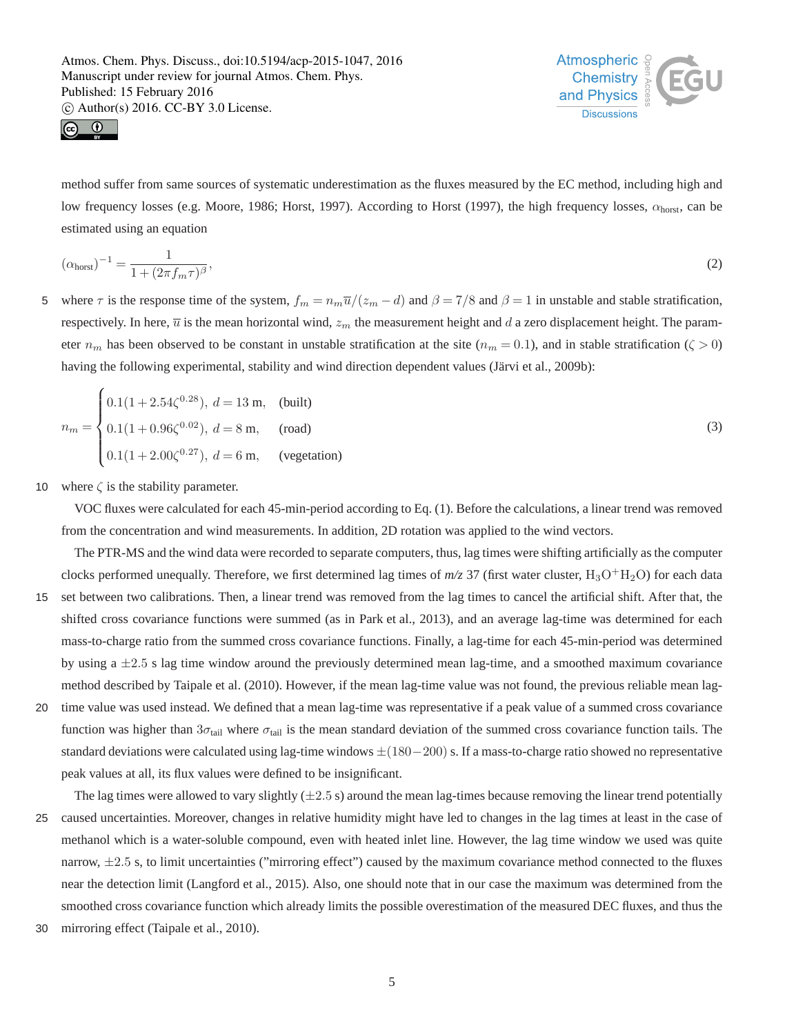



method suffer from same sources of systematic underestimation as the fluxes measured by the EC method, including high and low frequency losses (e.g. Moore, 1986; Horst, 1997). According to Horst (1997), the high frequency losses,  $\alpha_{\text{horst}}$ , can be estimated using an equation

$$
(\alpha_{\text{horst}})^{-1} = \frac{1}{1 + (2\pi f_m \tau)^{\beta}},\tag{2}
$$

5 where  $\tau$  is the response time of the system,  $f_m = n_m \overline{u}/(z_m - d)$  and  $\beta = 7/8$  and  $\beta = 1$  in unstable and stable stratification, respectively. In here,  $\overline{u}$  is the mean horizontal wind,  $z_m$  the measurement height and d a zero displacement height. The parameter  $n_m$  has been observed to be constant in unstable stratification at the site  $(n_m = 0.1)$ , and in stable stratification ( $\zeta > 0$ ) having the following experimental, stability and wind direction dependent values (Järvi et al., 2009b):

$$
n_m = \begin{cases} 0.1(1+2.54\zeta^{0.28}), \ d = 13 \text{ m}, & \text{(built)}\\ 0.1(1+0.96\zeta^{0.02}), \ d = 8 \text{ m}, & \text{(road)}\\ 0.1(1+2.00\zeta^{0.27}), \ d = 6 \text{ m}, & \text{(vegetation)} \end{cases}
$$
(3)

10 where  $\zeta$  is the stability parameter.

VOC fluxes were calculated for each 45-min-period according to Eq. (1). Before the calculations, a linear trend was removed from the concentration and wind measurements. In addition, 2D rotation was applied to the wind vectors.

- The PTR-MS and the wind data were recorded to separate computers, thus, lag times were shifting artificially as the computer clocks performed unequally. Therefore, we first determined lag times of  $m/z$  37 (first water cluster, H<sub>3</sub>O+H<sub>2</sub>O) for each data 15 set between two calibrations. Then, a linear trend was removed from the lag times to cancel the artificial shift. After that, the shifted cross covariance functions were summed (as in Park et al., 2013), and an average lag-time was determined for each mass-to-charge ratio from the summed cross covariance functions. Finally, a lag-time for each 45-min-period was determined by using  $a \pm 2.5$  s lag time window around the previously determined mean lag-time, and a smoothed maximum covariance method described by Taipale et al. (2010). However, if the mean lag-time value was not found, the previous reliable mean lag-20 time value was used instead. We defined that a mean lag-time was representative if a peak value of a summed cross covariance
- function was higher than  $3\sigma_{tail}$  where  $\sigma_{tail}$  is the mean standard deviation of the summed cross covariance function tails. The standard deviations were calculated using lag-time windows  $\pm(180-200)$  s. If a mass-to-charge ratio showed no representative peak values at all, its flux values were defined to be insignificant.

The lag times were allowed to vary slightly  $(\pm 2.5 \text{ s})$  around the mean lag-times because removing the linear trend potentially 25 caused uncertainties. Moreover, changes in relative humidity might have led to changes in the lag times at least in the case of methanol which is a water-soluble compound, even with heated inlet line. However, the lag time window we used was quite narrow,  $\pm 2.5$  s, to limit uncertainties ("mirroring effect") caused by the maximum covariance method connected to the fluxes near the detection limit (Langford et al., 2015). Also, one should note that in our case the maximum was determined from the smoothed cross covariance function which already limits the possible overestimation of the measured DEC fluxes, and thus the

30 mirroring effect (Taipale et al., 2010).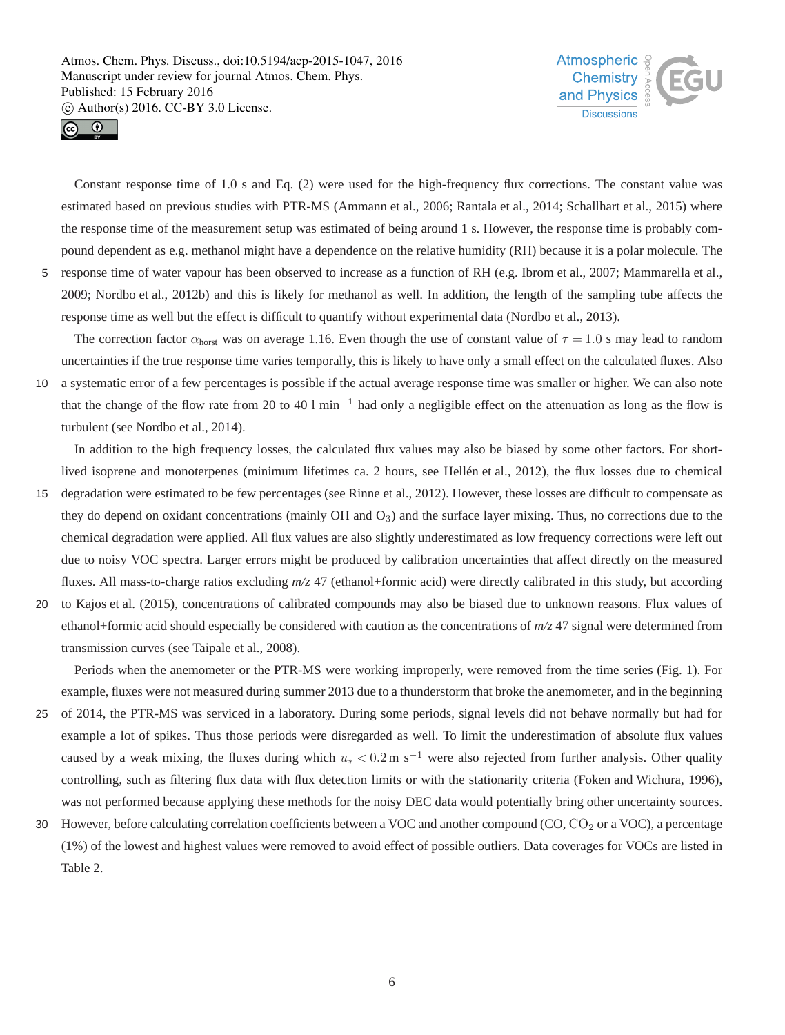



Constant response time of 1.0 s and Eq. (2) were used for the high-frequency flux corrections. The constant value was estimated based on previous studies with PTR-MS (Ammann et al., 2006; Rantala et al., 2014; Schallhart et al., 2015) where the response time of the measurement setup was estimated of being around 1 s. However, the response time is probably compound dependent as e.g. methanol might have a dependence on the relative humidity (RH) because it is a polar molecule. The 5 response time of water vapour has been observed to increase as a function of RH (e.g. Ibrom et al., 2007; Mammarella et al., 2009; Nordbo et al., 2012b) and this is likely for methanol as well. In addition, the length of the sampling tube affects the response time as well but the effect is difficult to quantify without experimental data (Nordbo et al., 2013).

The correction factor  $\alpha_{\text{horst}}$  was on average 1.16. Even though the use of constant value of  $\tau = 1.0$  s may lead to random uncertainties if the true response time varies temporally, this is likely to have only a small effect on the calculated fluxes. Also 10 a systematic error of a few percentages is possible if the actual average response time was smaller or higher. We can also note that the change of the flow rate from 20 to 40 l min<sup>-1</sup> had only a negligible effect on the attenuation as long as the flow is turbulent (see Nordbo et al., 2014).

In addition to the high frequency losses, the calculated flux values may also be biased by some other factors. For shortlived isoprene and monoterpenes (minimum lifetimes ca. 2 hours, see Hellén et al., 2012), the flux losses due to chemical

- 15 degradation were estimated to be few percentages (see Rinne et al., 2012). However, these losses are difficult to compensate as they do depend on oxidant concentrations (mainly OH and  $O<sub>3</sub>$ ) and the surface layer mixing. Thus, no corrections due to the chemical degradation were applied. All flux values are also slightly underestimated as low frequency corrections were left out due to noisy VOC spectra. Larger errors might be produced by calibration uncertainties that affect directly on the measured fluxes. All mass-to-charge ratios excluding *m/z* 47 (ethanol+formic acid) were directly calibrated in this study, but according
- 20 to Kajos et al. (2015), concentrations of calibrated compounds may also be biased due to unknown reasons. Flux values of ethanol+formic acid should especially be considered with caution as the concentrations of *m/z* 47 signal were determined from transmission curves (see Taipale et al., 2008).

Periods when the anemometer or the PTR-MS were working improperly, were removed from the time series (Fig. 1). For example, fluxes were not measured during summer 2013 due to a thunderstorm that broke the anemometer, and in the beginning

- 25 of 2014, the PTR-MS was serviced in a laboratory. During some periods, signal levels did not behave normally but had for example a lot of spikes. Thus those periods were disregarded as well. To limit the underestimation of absolute flux values caused by a weak mixing, the fluxes during which  $u_* < 0.2$  m s<sup>-1</sup> were also rejected from further analysis. Other quality controlling, such as filtering flux data with flux detection limits or with the stationarity criteria (Foken and Wichura, 1996), was not performed because applying these methods for the noisy DEC data would potentially bring other uncertainty sources.
- 30 However, before calculating correlation coefficients between a VOC and another compound  $(CO, CO<sub>2</sub>$  or a VOC), a percentage (1%) of the lowest and highest values were removed to avoid effect of possible outliers. Data coverages for VOCs are listed in Table 2.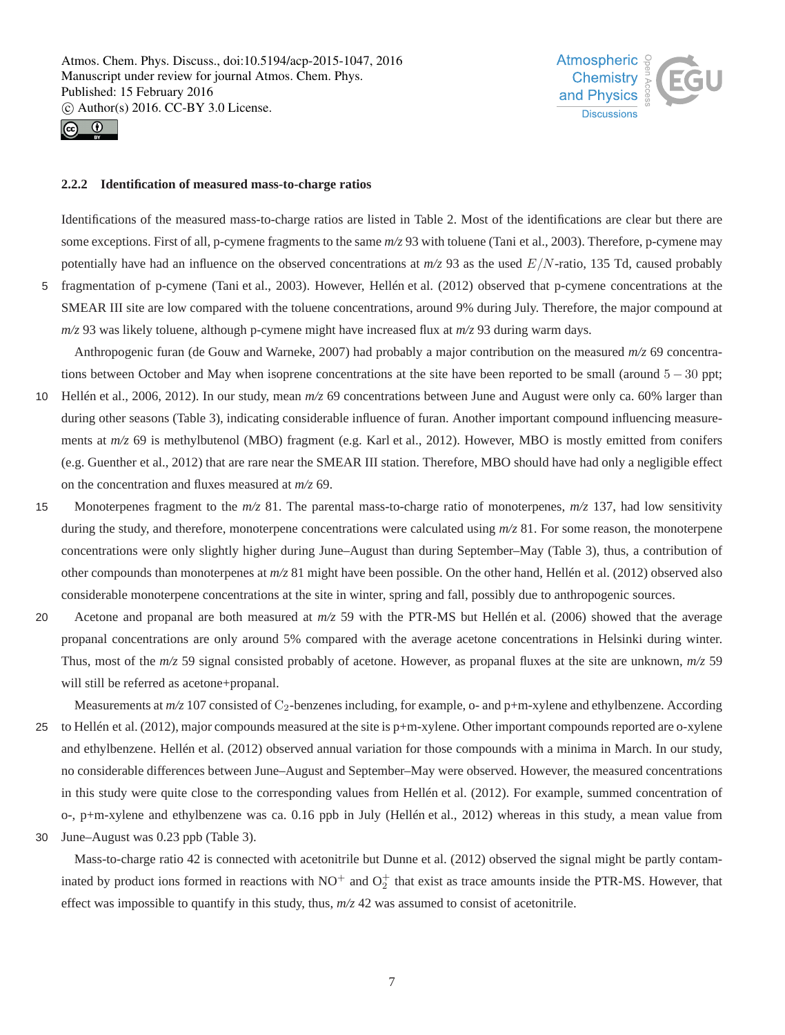



#### **2.2.2 Identification of measured mass-to-charge ratios**

Identifications of the measured mass-to-charge ratios are listed in Table 2. Most of the identifications are clear but there are some exceptions. First of all, p-cymene fragments to the same  $m/z$  93 with toluene (Tani et al., 2003). Therefore, p-cymene may potentially have had an influence on the observed concentrations at  $m/z$  93 as the used  $E/N$ -ratio, 135 Td, caused probably 5 fragmentation of p-cymene (Tani et al., 2003). However, Hellén et al. (2012) observed that p-cymene concentrations at the

SMEAR III site are low compared with the toluene concentrations, around 9% during July. Therefore, the major compound at *m/z* 93 was likely toluene, although p-cymene might have increased flux at *m/z* 93 during warm days.

Anthropogenic furan (de Gouw and Warneke, 2007) had probably a major contribution on the measured *m/z* 69 concentrations between October and May when isoprene concentrations at the site have been reported to be small (around  $5 - 30$  ppt;

- 10 Hellén et al., 2006, 2012). In our study, mean *m/z* 69 concentrations between June and August were only ca. 60% larger than during other seasons (Table 3), indicating considerable influence of furan. Another important compound influencing measurements at  $m/z$  69 is methylbutenol (MBO) fragment (e.g. Karl et al., 2012). However, MBO is mostly emitted from conifers (e.g. Guenther et al., 2012) that are rare near the SMEAR III station. Therefore, MBO should have had only a negligible effect on the concentration and fluxes measured at *m/z* 69.
- 15 Monoterpenes fragment to the *m/z* 81. The parental mass-to-charge ratio of monoterpenes, *m/z* 137, had low sensitivity during the study, and therefore, monoterpene concentrations were calculated using *m/z* 81. For some reason, the monoterpene concentrations were only slightly higher during June–August than during September–May (Table 3), thus, a contribution of other compounds than monoterpenes at *m/z* 81 might have been possible. On the other hand, Hellén et al. (2012) observed also considerable monoterpene concentrations at the site in winter, spring and fall, possibly due to anthropogenic sources.
- 20 Acetone and propanal are both measured at *m/z* 59 with the PTR-MS but Hellén et al. (2006) showed that the average propanal concentrations are only around 5% compared with the average acetone concentrations in Helsinki during winter. Thus, most of the *m/z* 59 signal consisted probably of acetone. However, as propanal fluxes at the site are unknown, *m/z* 59 will still be referred as acetone+propanal.

Measurements at  $m/z$  107 consisted of  $C_2$ -benzenes including, for example, o- and  $p+m$ -xylene and ethylbenzene. According 25 to Hellén et al. (2012), major compounds measured at the site is p+m-xylene. Other important compounds reported are o-xylene and ethylbenzene. Hellén et al. (2012) observed annual variation for those compounds with a minima in March. In our study, no considerable differences between June–August and September–May were observed. However, the measured concentrations in this study were quite close to the corresponding values from Hellén et al. (2012). For example, summed concentration of o-, p+m-xylene and ethylbenzene was ca. 0.16 ppb in July (Hellén et al., 2012) whereas in this study, a mean value from

30 June–August was 0.23 ppb (Table 3).

Mass-to-charge ratio 42 is connected with acetonitrile but Dunne et al. (2012) observed the signal might be partly contaminated by product ions formed in reactions with  $NO^+$  and  $O_2^+$  that exist as trace amounts inside the PTR-MS. However, that effect was impossible to quantify in this study, thus,  $m/z$  42 was assumed to consist of acetonitrile.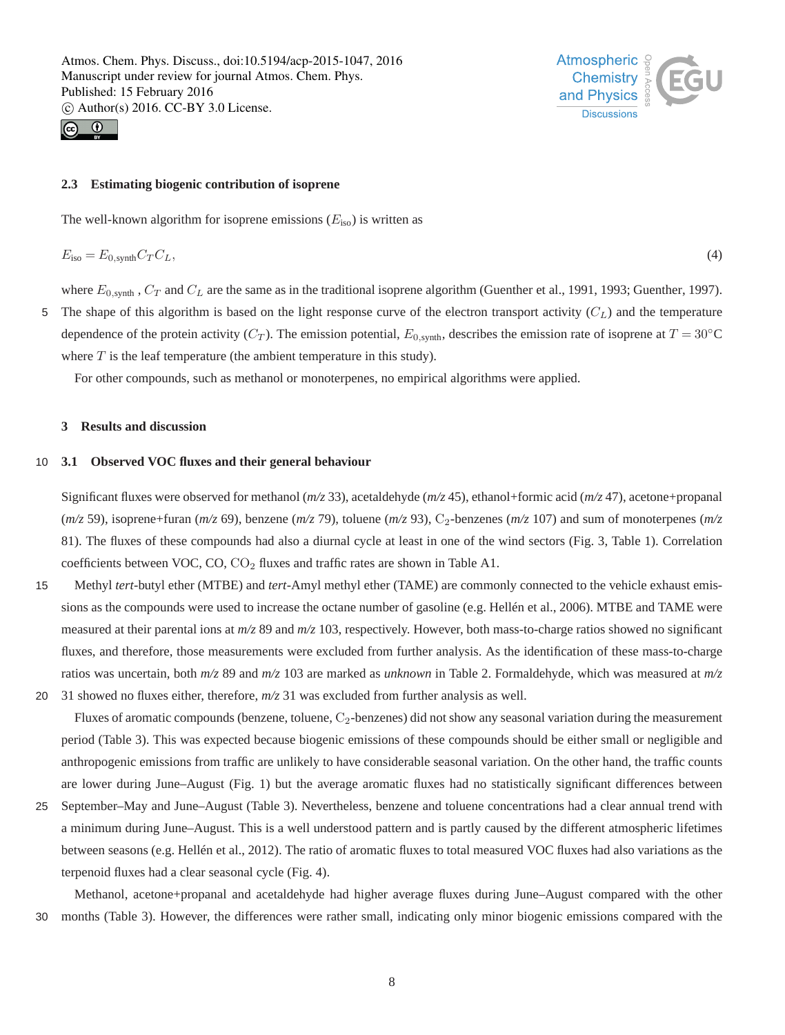



#### **2.3 Estimating biogenic contribution of isoprene**

The well-known algorithm for isoprene emissions  $(E_{\text{iso}})$  is written as

$$
E_{\rm iso} = E_{0,\rm synth} C_T C_L,\tag{4}
$$

where  $E_{0,\text{synth}}$ ,  $C_T$  and  $C_L$  are the same as in the traditional isoprene algorithm (Guenther et al., 1991, 1993; Guenther, 1997).

5 The shape of this algorithm is based on the light response curve of the electron transport activity  $(C_L)$  and the temperature dependence of the protein activity  $(C_T)$ . The emission potential,  $E_{0, \text{synth}}$ , describes the emission rate of isoprene at  $T = 30^\circ \text{C}$ where  $T$  is the leaf temperature (the ambient temperature in this study).

For other compounds, such as methanol or monoterpenes, no empirical algorithms were applied.

#### **3 Results and discussion**

#### 10 **3.1 Observed VOC fluxes and their general behaviour**

Significant fluxes were observed for methanol (*m/z* 33), acetaldehyde (*m/z* 45), ethanol+formic acid (*m/z* 47), acetone+propanal (*m/z* 59), isoprene+furan (*m/z* 69), benzene (*m/z* 79), toluene (*m/z* 93), C2-benzenes (*m/z* 107) and sum of monoterpenes (*m/z* 81). The fluxes of these compounds had also a diurnal cycle at least in one of the wind sectors (Fig. 3, Table 1). Correlation coefficients between VOC,  $CO$ ,  $CO<sub>2</sub>$  fluxes and traffic rates are shown in Table A1.

- 15 Methyl *tert*-butyl ether (MTBE) and *tert*-Amyl methyl ether (TAME) are commonly connected to the vehicle exhaust emissions as the compounds were used to increase the octane number of gasoline (e.g. Hellén et al., 2006). MTBE and TAME were measured at their parental ions at *m/z* 89 and *m/z* 103, respectively. However, both mass-to-charge ratios showed no significant fluxes, and therefore, those measurements were excluded from further analysis. As the identification of these mass-to-charge ratios was uncertain, both *m/z* 89 and *m/z* 103 are marked as *unknown* in Table 2. Formaldehyde, which was measured at *m/z*
- 20 31 showed no fluxes either, therefore, *m/z* 31 was excluded from further analysis as well.

Fluxes of aromatic compounds (benzene, toluene,  $C_2$ -benzenes) did not show any seasonal variation during the measurement period (Table 3). This was expected because biogenic emissions of these compounds should be either small or negligible and anthropogenic emissions from traffic are unlikely to have considerable seasonal variation. On the other hand, the traffic counts are lower during June–August (Fig. 1) but the average aromatic fluxes had no statistically significant differences between

25 September–May and June–August (Table 3). Nevertheless, benzene and toluene concentrations had a clear annual trend with a minimum during June–August. This is a well understood pattern and is partly caused by the different atmospheric lifetimes between seasons (e.g. Hellén et al., 2012). The ratio of aromatic fluxes to total measured VOC fluxes had also variations as the terpenoid fluxes had a clear seasonal cycle (Fig. 4).

Methanol, acetone+propanal and acetaldehyde had higher average fluxes during June–August compared with the other 30 months (Table 3). However, the differences were rather small, indicating only minor biogenic emissions compared with the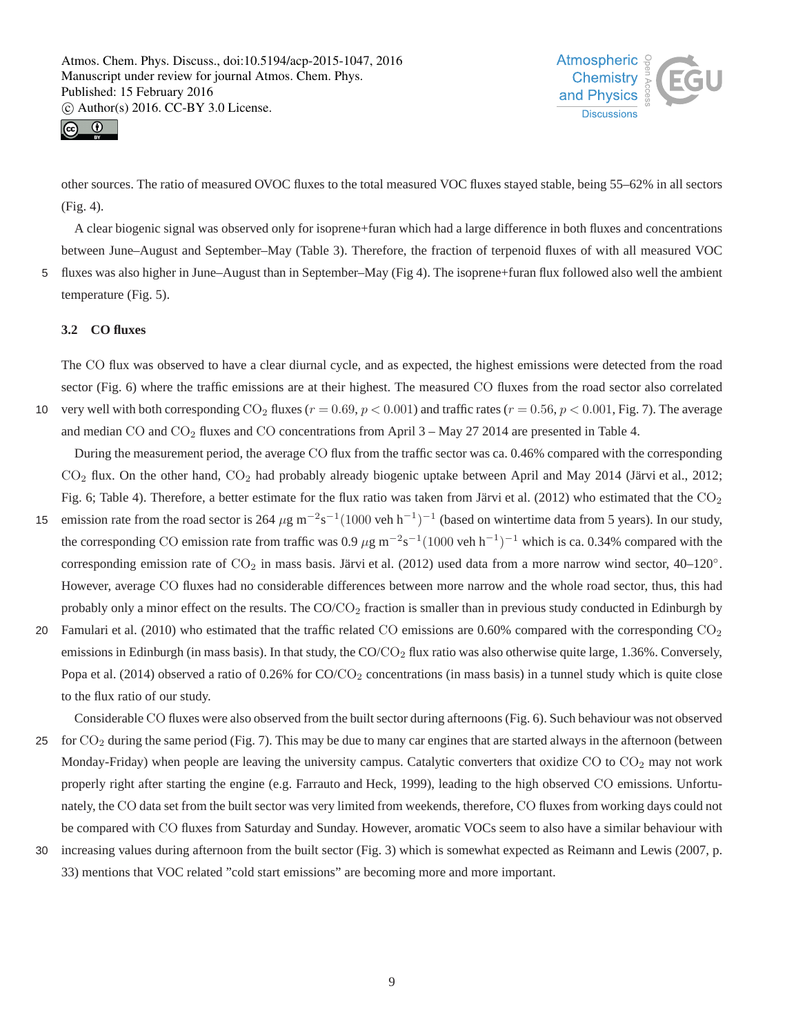



other sources. The ratio of measured OVOC fluxes to the total measured VOC fluxes stayed stable, being 55–62% in all sectors (Fig. 4).

A clear biogenic signal was observed only for isoprene+furan which had a large difference in both fluxes and concentrations between June–August and September–May (Table 3). Therefore, the fraction of terpenoid fluxes of with all measured VOC 5 fluxes was also higher in June–August than in September–May (Fig 4). The isoprene+furan flux followed also well the ambient temperature (Fig. 5).

## **3.2 CO fluxes**

The CO flux was observed to have a clear diurnal cycle, and as expected, the highest emissions were detected from the road sector (Fig. 6) where the traffic emissions are at their highest. The measured CO fluxes from the road sector also correlated 10 very well with both corresponding  $CO_2$  fluxes ( $r = 0.69$ ,  $p < 0.001$ ) and traffic rates ( $r = 0.56$ ,  $p < 0.001$ , Fig. 7). The average and median CO and  $CO<sub>2</sub>$  fluxes and CO concentrations from April 3 – May 27 2014 are presented in Table 4.

During the measurement period, the average CO flux from the traffic sector was ca. 0.46% compared with the corresponding  $CO<sub>2</sub>$  flux. On the other hand,  $CO<sub>2</sub>$  had probably already biogenic uptake between April and May 2014 (Järvi et al., 2012; Fig. 6; Table 4). Therefore, a better estimate for the flux ratio was taken from Järvi et al. (2012) who estimated that the  $CO<sub>2</sub>$ 

- 15 emission rate from the road sector is 264  $\mu$ g m<sup>-2</sup>s<sup>-1</sup>(1000 veh h<sup>-1</sup>)<sup>-1</sup> (based on wintertime data from 5 years). In our study, the corresponding CO emission rate from traffic was 0.9  $\mu$ g m<sup>-2</sup>s<sup>-1</sup>(1000 veh h<sup>-1</sup>)<sup>-1</sup> which is ca. 0.34% compared with the corresponding emission rate of  $CO_2$  in mass basis. Järvi et al. (2012) used data from a more narrow wind sector, 40–120°. However, average CO fluxes had no considerable differences between more narrow and the whole road sector, thus, this had probably only a minor effect on the results. The CO/CO<sup>2</sup> fraction is smaller than in previous study conducted in Edinburgh by
- 20 Famulari et al. (2010) who estimated that the traffic related CO emissions are  $0.60\%$  compared with the corresponding  $CO<sub>2</sub>$ emissions in Edinburgh (in mass basis). In that study, the  $CO/CO<sub>2</sub>$  flux ratio was also otherwise quite large, 1.36%. Conversely, Popa et al. (2014) observed a ratio of  $0.26\%$  for CO/CO<sub>2</sub> concentrations (in mass basis) in a tunnel study which is quite close to the flux ratio of our study.

Considerable CO fluxes were also observed from the built sector during afternoons (Fig. 6). Such behaviour was not observed 25 for  $CO<sub>2</sub>$  during the same period (Fig. 7). This may be due to many car engines that are started always in the afternoon (between Monday-Friday) when people are leaving the university campus. Catalytic converters that oxidize  $CO$  to  $CO<sub>2</sub>$  may not work properly right after starting the engine (e.g. Farrauto and Heck, 1999), leading to the high observed CO emissions. Unfortunately, the CO data set from the built sector was very limited from weekends, therefore, CO fluxes from working days could not be compared with CO fluxes from Saturday and Sunday. However, aromatic VOCs seem to also have a similar behaviour with

30 increasing values during afternoon from the built sector (Fig. 3) which is somewhat expected as Reimann and Lewis (2007, p. 33) mentions that VOC related "cold start emissions" are becoming more and more important.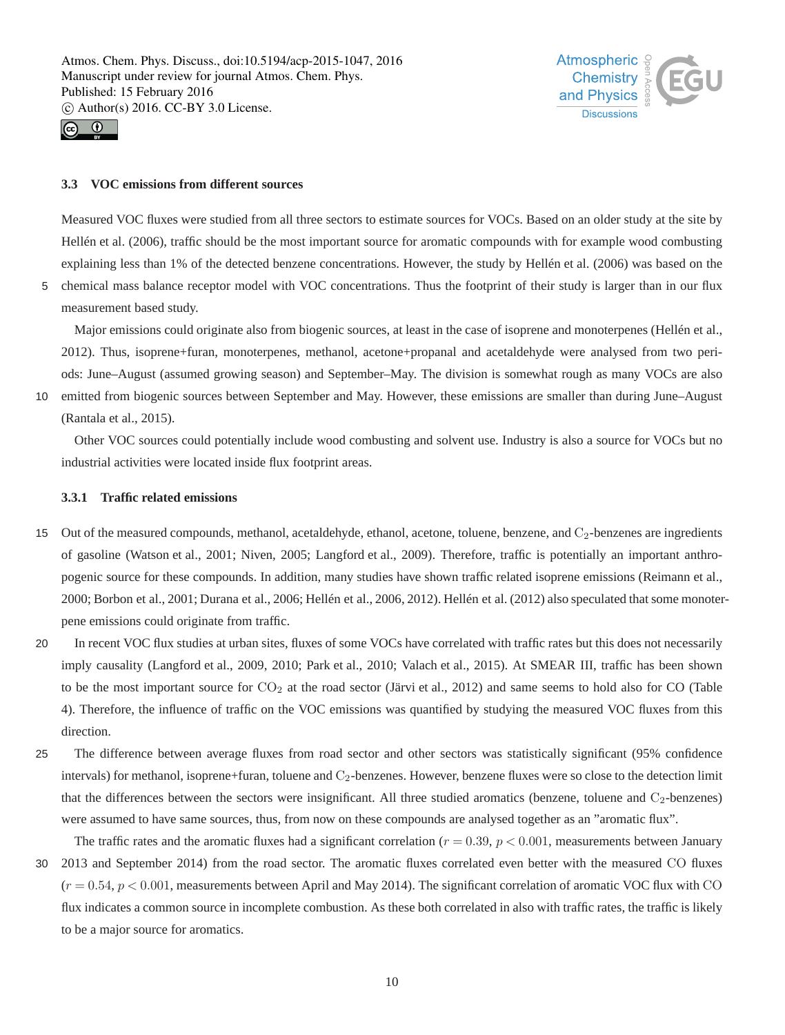



#### **3.3 VOC emissions from different sources**

Measured VOC fluxes were studied from all three sectors to estimate sources for VOCs. Based on an older study at the site by Hellén et al. (2006), traffic should be the most important source for aromatic compounds with for example wood combusting explaining less than 1% of the detected benzene concentrations. However, the study by Hellén et al. (2006) was based on the

5 chemical mass balance receptor model with VOC concentrations. Thus the footprint of their study is larger than in our flux measurement based study.

Major emissions could originate also from biogenic sources, at least in the case of isoprene and monoterpenes (Hellén et al., 2012). Thus, isoprene+furan, monoterpenes, methanol, acetone+propanal and acetaldehyde were analysed from two periods: June–August (assumed growing season) and September–May. The division is somewhat rough as many VOCs are also

10 emitted from biogenic sources between September and May. However, these emissions are smaller than during June–August (Rantala et al., 2015).

Other VOC sources could potentially include wood combusting and solvent use. Industry is also a source for VOCs but no industrial activities were located inside flux footprint areas.

## **3.3.1 Traffic related emissions**

- 15 Out of the measured compounds, methanol, acetaldehyde, ethanol, acetone, toluene, benzene, and C<sub>2</sub>-benzenes are ingredients of gasoline (Watson et al., 2001; Niven, 2005; Langford et al., 2009). Therefore, traffic is potentially an important anthropogenic source for these compounds. In addition, many studies have shown traffic related isoprene emissions (Reimann et al., 2000; Borbon et al., 2001; Durana et al., 2006; Hellén et al., 2006, 2012). Hellén et al. (2012) also speculated that some monoterpene emissions could originate from traffic.
- 20 In recent VOC flux studies at urban sites, fluxes of some VOCs have correlated with traffic rates but this does not necessarily imply causality (Langford et al., 2009, 2010; Park et al., 2010; Valach et al., 2015). At SMEAR III, traffic has been shown to be the most important source for  $CO<sub>2</sub>$  at the road sector (Järvi et al., 2012) and same seems to hold also for CO (Table 4). Therefore, the influence of traffic on the VOC emissions was quantified by studying the measured VOC fluxes from this direction.
- 25 The difference between average fluxes from road sector and other sectors was statistically significant (95% confidence intervals) for methanol, isoprene+furan, toluene and C<sub>2</sub>-benzenes. However, benzene fluxes were so close to the detection limit that the differences between the sectors were insignificant. All three studied aromatics (benzene, toluene and  $C_2$ -benzenes) were assumed to have same sources, thus, from now on these compounds are analysed together as an "aromatic flux".

The traffic rates and the aromatic fluxes had a significant correlation ( $r = 0.39$ ,  $p < 0.001$ , measurements between January 30 2013 and September 2014) from the road sector. The aromatic fluxes correlated even better with the measured CO fluxes  $(r = 0.54, p < 0.001$ , measurements between April and May 2014). The significant correlation of aromatic VOC flux with CO flux indicates a common source in incomplete combustion. As these both correlated in also with traffic rates, the traffic is likely to be a major source for aromatics.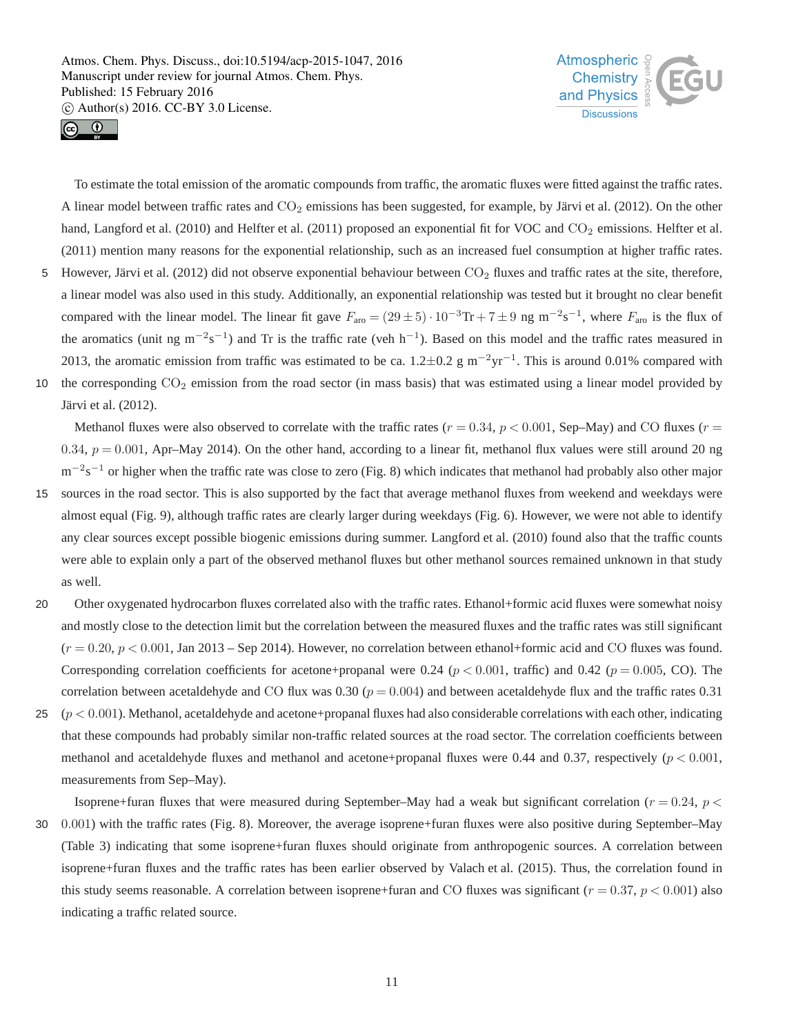



To estimate the total emission of the aromatic compounds from traffic, the aromatic fluxes were fitted against the traffic rates. A linear model between traffic rates and  $CO<sub>2</sub>$  emissions has been suggested, for example, by Järvi et al. (2012). On the other hand, Langford et al. (2010) and Helfter et al. (2011) proposed an exponential fit for VOC and  $CO_2$  emissions. Helfter et al. (2011) mention many reasons for the exponential relationship, such as an increased fuel consumption at higher traffic rates. 5 However, Järvi et al. (2012) did not observe exponential behaviour between  $CO_2$  fluxes and traffic rates at the site, therefore,

- a linear model was also used in this study. Additionally, an exponential relationship was tested but it brought no clear benefit compared with the linear model. The linear fit gave  $F_{\text{aro}} = (29 \pm 5) \cdot 10^{-3} \text{Tr} + 7 \pm 9 \text{ ng m}^{-2} \text{s}^{-1}$ , where  $F_{\text{aro}}$  is the flux of the aromatics (unit ng m<sup>-2</sup>s<sup>-1</sup>) and Tr is the traffic rate (veh h<sup>-1</sup>). Based on this model and the traffic rates measured in 2013, the aromatic emission from traffic was estimated to be ca.  $1.2 \pm 0.2$  g m<sup>-2</sup>yr<sup>-1</sup>. This is around 0.01% compared with 10 the corresponding  $CO<sub>2</sub>$  emission from the road sector (in mass basis) that was estimated using a linear model provided by
- Järvi et al. (2012).

Methanol fluxes were also observed to correlate with the traffic rates  $(r = 0.34, p < 0.001$ , Sep–May) and CO fluxes  $(r = 0.001, p = 0.001)$ 0.34,  $p = 0.001$ , Apr–May 2014). On the other hand, according to a linear fit, methanol flux values were still around 20 ng m<sup>-2</sup>s<sup>-1</sup> or higher when the traffic rate was close to zero (Fig. 8) which indicates that methanol had probably also other major

- 15 sources in the road sector. This is also supported by the fact that average methanol fluxes from weekend and weekdays were almost equal (Fig. 9), although traffic rates are clearly larger during weekdays (Fig. 6). However, we were not able to identify any clear sources except possible biogenic emissions during summer. Langford et al. (2010) found also that the traffic counts were able to explain only a part of the observed methanol fluxes but other methanol sources remained unknown in that study as well.
- 20 Other oxygenated hydrocarbon fluxes correlated also with the traffic rates. Ethanol+formic acid fluxes were somewhat noisy and mostly close to the detection limit but the correlation between the measured fluxes and the traffic rates was still significant  $(r = 0.20, p < 0.001, \text{Jan } 2013 - \text{Sep } 2014)$ . However, no correlation between ethanol+formic acid and CO fluxes was found. Corresponding correlation coefficients for acetone+propanal were 0.24 ( $p < 0.001$ , traffic) and 0.42 ( $p = 0.005$ , CO). The correlation between acetaldehyde and CO flux was 0.30 ( $p = 0.004$ ) and between acetaldehyde flux and the traffic rates 0.31
- 25  $(p < 0.001)$ . Methanol, acetaldehyde and acetone+propanal fluxes had also considerable correlations with each other, indicating that these compounds had probably similar non-traffic related sources at the road sector. The correlation coefficients between methanol and acetaldehyde fluxes and methanol and acetone+propanal fluxes were 0.44 and 0.37, respectively ( $p < 0.001$ , measurements from Sep–May).

Isoprene+furan fluxes that were measured during September–May had a weak but significant correlation ( $r = 0.24$ ,  $p <$ 30 0.001) with the traffic rates (Fig. 8). Moreover, the average isoprene+furan fluxes were also positive during September–May (Table 3) indicating that some isoprene+furan fluxes should originate from anthropogenic sources. A correlation between isoprene+furan fluxes and the traffic rates has been earlier observed by Valach et al. (2015). Thus, the correlation found in this study seems reasonable. A correlation between isoprene+furan and CO fluxes was significant ( $r = 0.37$ ,  $p < 0.001$ ) also indicating a traffic related source.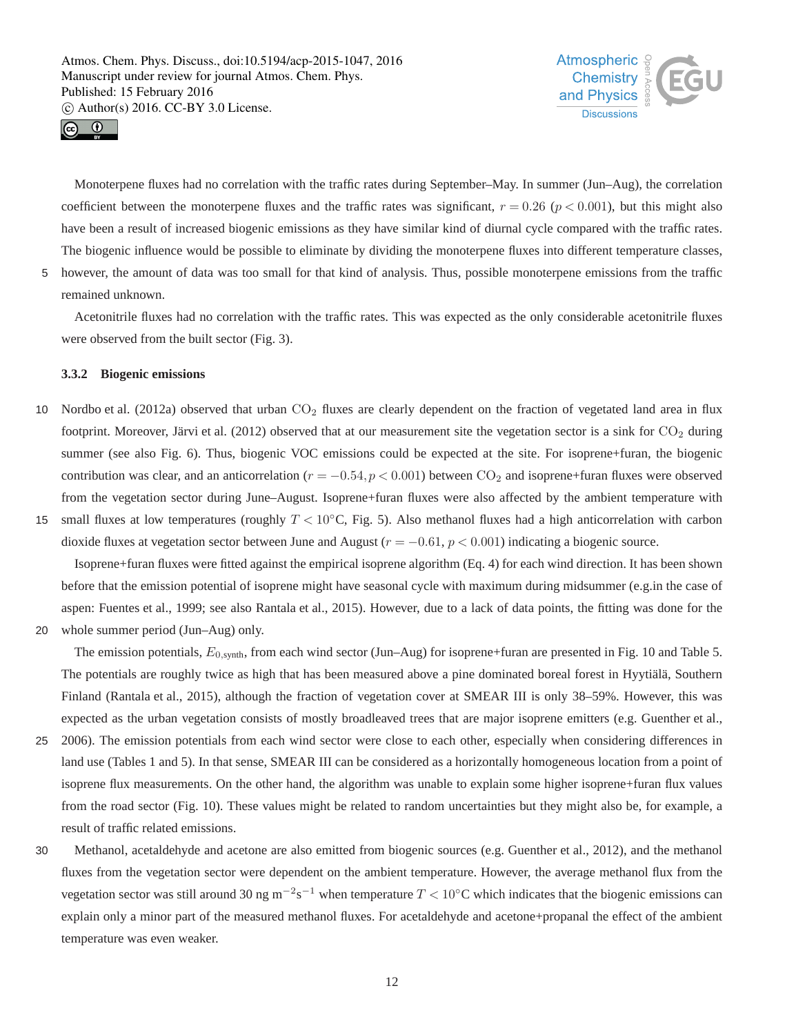



Monoterpene fluxes had no correlation with the traffic rates during September–May. In summer (Jun–Aug), the correlation coefficient between the monoterpene fluxes and the traffic rates was significant,  $r = 0.26$  ( $p < 0.001$ ), but this might also have been a result of increased biogenic emissions as they have similar kind of diurnal cycle compared with the traffic rates. The biogenic influence would be possible to eliminate by dividing the monoterpene fluxes into different temperature classes, 5 however, the amount of data was too small for that kind of analysis. Thus, possible monoterpene emissions from the traffic remained unknown.

Acetonitrile fluxes had no correlation with the traffic rates. This was expected as the only considerable acetonitrile fluxes were observed from the built sector (Fig. 3).

## **3.3.2 Biogenic emissions**

- 10 Nordbo et al. (2012a) observed that urban  $CO<sub>2</sub>$  fluxes are clearly dependent on the fraction of vegetated land area in flux footprint. Moreover, Järvi et al. (2012) observed that at our measurement site the vegetation sector is a sink for  $CO<sub>2</sub>$  during summer (see also Fig. 6). Thus, biogenic VOC emissions could be expected at the site. For isoprene+furan, the biogenic contribution was clear, and an anticorrelation ( $r = -0.54$ ,  $p < 0.001$ ) between CO<sub>2</sub> and isoprene+furan fluxes were observed from the vegetation sector during June–August. Isoprene+furan fluxes were also affected by the ambient temperature with
- 15 small fluxes at low temperatures (roughly  $T < 10^{\circ}$ C, Fig. 5). Also methanol fluxes had a high anticorrelation with carbon dioxide fluxes at vegetation sector between June and August ( $r = -0.61$ ,  $p < 0.001$ ) indicating a biogenic source.

Isoprene+furan fluxes were fitted against the empirical isoprene algorithm (Eq. 4) for each wind direction. It has been shown before that the emission potential of isoprene might have seasonal cycle with maximum during midsummer (e.g.in the case of aspen: Fuentes et al., 1999; see also Rantala et al., 2015). However, due to a lack of data points, the fitting was done for the

20 whole summer period (Jun–Aug) only.

The emission potentials,  $E_{0, \text{synth}}$ , from each wind sector (Jun–Aug) for isoprene+furan are presented in Fig. 10 and Table 5. The potentials are roughly twice as high that has been measured above a pine dominated boreal forest in Hyytiälä, Southern Finland (Rantala et al., 2015), although the fraction of vegetation cover at SMEAR III is only 38–59%. However, this was expected as the urban vegetation consists of mostly broadleaved trees that are major isoprene emitters (e.g. Guenther et al.,

- 25 2006). The emission potentials from each wind sector were close to each other, especially when considering differences in land use (Tables 1 and 5). In that sense, SMEAR III can be considered as a horizontally homogeneous location from a point of isoprene flux measurements. On the other hand, the algorithm was unable to explain some higher isoprene+furan flux values from the road sector (Fig. 10). These values might be related to random uncertainties but they might also be, for example, a result of traffic related emissions.
- 30 Methanol, acetaldehyde and acetone are also emitted from biogenic sources (e.g. Guenther et al., 2012), and the methanol fluxes from the vegetation sector were dependent on the ambient temperature. However, the average methanol flux from the vegetation sector was still around 30 ng m<sup>-2</sup>s<sup>-1</sup> when temperature  $T < 10$ °C which indicates that the biogenic emissions can explain only a minor part of the measured methanol fluxes. For acetaldehyde and acetone+propanal the effect of the ambient temperature was even weaker.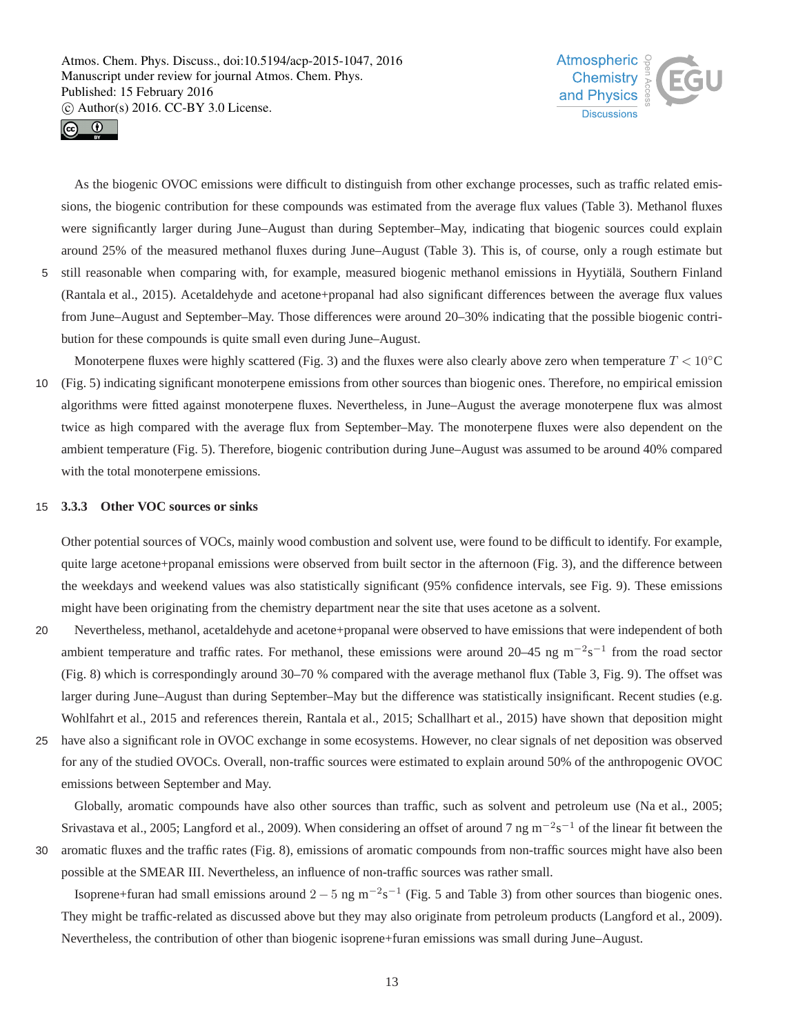



As the biogenic OVOC emissions were difficult to distinguish from other exchange processes, such as traffic related emissions, the biogenic contribution for these compounds was estimated from the average flux values (Table 3). Methanol fluxes were significantly larger during June–August than during September–May, indicating that biogenic sources could explain around 25% of the measured methanol fluxes during June–August (Table 3). This is, of course, only a rough estimate but 5 still reasonable when comparing with, for example, measured biogenic methanol emissions in Hyytiälä, Southern Finland

(Rantala et al., 2015). Acetaldehyde and acetone+propanal had also significant differences between the average flux values from June–August and September–May. Those differences were around 20–30% indicating that the possible biogenic contribution for these compounds is quite small even during June–August.

Monoterpene fluxes were highly scattered (Fig. 3) and the fluxes were also clearly above zero when temperature  $T < 10°\text{C}$ 10 (Fig. 5) indicating significant monoterpene emissions from other sources than biogenic ones. Therefore, no empirical emission algorithms were fitted against monoterpene fluxes. Nevertheless, in June–August the average monoterpene flux was almost twice as high compared with the average flux from September–May. The monoterpene fluxes were also dependent on the ambient temperature (Fig. 5). Therefore, biogenic contribution during June–August was assumed to be around 40% compared with the total monoterpene emissions.

#### 15 **3.3.3 Other VOC sources or sinks**

Other potential sources of VOCs, mainly wood combustion and solvent use, were found to be difficult to identify. For example, quite large acetone+propanal emissions were observed from built sector in the afternoon (Fig. 3), and the difference between the weekdays and weekend values was also statistically significant (95% confidence intervals, see Fig. 9). These emissions might have been originating from the chemistry department near the site that uses acetone as a solvent.

- 20 Nevertheless, methanol, acetaldehyde and acetone+propanal were observed to have emissions that were independent of both ambient temperature and traffic rates. For methanol, these emissions were around 20–45 ng m<sup>-2</sup>s<sup>-1</sup> from the road sector (Fig. 8) which is correspondingly around 30–70 % compared with the average methanol flux (Table 3, Fig. 9). The offset was larger during June–August than during September–May but the difference was statistically insignificant. Recent studies (e.g. Wohlfahrt et al., 2015 and references therein, Rantala et al., 2015; Schallhart et al., 2015) have shown that deposition might
- 25 have also a significant role in OVOC exchange in some ecosystems. However, no clear signals of net deposition was observed for any of the studied OVOCs. Overall, non-traffic sources were estimated to explain around 50% of the anthropogenic OVOC emissions between September and May.

Globally, aromatic compounds have also other sources than traffic, such as solvent and petroleum use (Na et al., 2005; Srivastava et al., 2005; Langford et al., 2009). When considering an offset of around 7 ng m<sup>-2</sup>s<sup>-1</sup> of the linear fit between the

30 aromatic fluxes and the traffic rates (Fig. 8), emissions of aromatic compounds from non-traffic sources might have also been possible at the SMEAR III. Nevertheless, an influence of non-traffic sources was rather small.

Isoprene+furan had small emissions around  $2-5$  ng m<sup>-2</sup>s<sup>-1</sup> (Fig. 5 and Table 3) from other sources than biogenic ones. They might be traffic-related as discussed above but they may also originate from petroleum products (Langford et al., 2009). Nevertheless, the contribution of other than biogenic isoprene+furan emissions was small during June–August.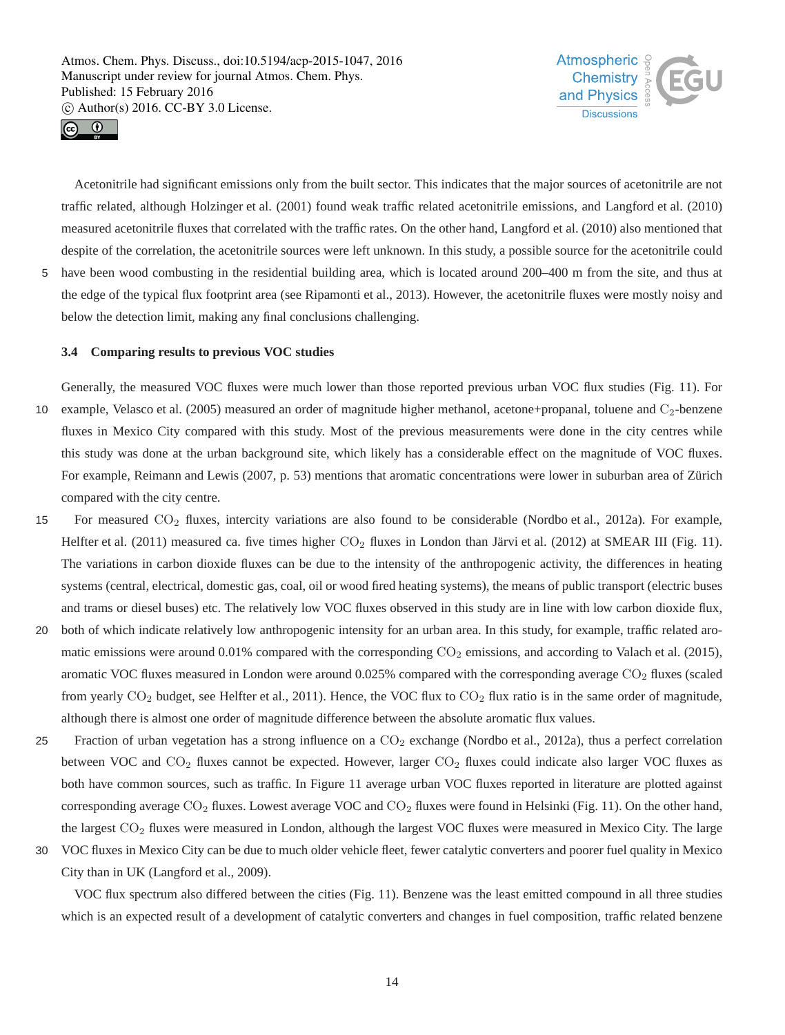



Acetonitrile had significant emissions only from the built sector. This indicates that the major sources of acetonitrile are not traffic related, although Holzinger et al. (2001) found weak traffic related acetonitrile emissions, and Langford et al. (2010) measured acetonitrile fluxes that correlated with the traffic rates. On the other hand, Langford et al. (2010) also mentioned that despite of the correlation, the acetonitrile sources were left unknown. In this study, a possible source for the acetonitrile could 5 have been wood combusting in the residential building area, which is located around 200–400 m from the site, and thus at

# the edge of the typical flux footprint area (see Ripamonti et al., 2013). However, the acetonitrile fluxes were mostly noisy and below the detection limit, making any final conclusions challenging.

## **3.4 Comparing results to previous VOC studies**

Generally, the measured VOC fluxes were much lower than those reported previous urban VOC flux studies (Fig. 11). For 10 example, Velasco et al. (2005) measured an order of magnitude higher methanol, acetone+propanal, toluene and C<sub>2</sub>-benzene fluxes in Mexico City compared with this study. Most of the previous measurements were done in the city centres while this study was done at the urban background site, which likely has a considerable effect on the magnitude of VOC fluxes. For example, Reimann and Lewis (2007, p. 53) mentions that aromatic concentrations were lower in suburban area of Zürich compared with the city centre.

- 15 For measured CO<sup>2</sup> fluxes, intercity variations are also found to be considerable (Nordbo et al., 2012a). For example, Helfter et al. (2011) measured ca. five times higher  $CO<sub>2</sub>$  fluxes in London than Järvi et al. (2012) at SMEAR III (Fig. 11). The variations in carbon dioxide fluxes can be due to the intensity of the anthropogenic activity, the differences in heating systems (central, electrical, domestic gas, coal, oil or wood fired heating systems), the means of public transport (electric buses and trams or diesel buses) etc. The relatively low VOC fluxes observed in this study are in line with low carbon dioxide flux,
- 20 both of which indicate relatively low anthropogenic intensity for an urban area. In this study, for example, traffic related aromatic emissions were around  $0.01\%$  compared with the corresponding  $CO<sub>2</sub>$  emissions, and according to Valach et al. (2015), aromatic VOC fluxes measured in London were around  $0.025%$  compared with the corresponding average  $CO<sub>2</sub>$  fluxes (scaled from yearly  $CO_2$  budget, see Helfter et al., 2011). Hence, the VOC flux to  $CO_2$  flux ratio is in the same order of magnitude, although there is almost one order of magnitude difference between the absolute aromatic flux values.
- 25 Fraction of urban vegetation has a strong influence on a  $CO<sub>2</sub>$  exchange (Nordbo et al., 2012a), thus a perfect correlation between VOC and  $CO_2$  fluxes cannot be expected. However, larger  $CO_2$  fluxes could indicate also larger VOC fluxes as both have common sources, such as traffic. In Figure 11 average urban VOC fluxes reported in literature are plotted against corresponding average  $CO_2$  fluxes. Lowest average VOC and  $CO_2$  fluxes were found in Helsinki (Fig. 11). On the other hand, the largest CO<sub>2</sub> fluxes were measured in London, although the largest VOC fluxes were measured in Mexico City. The large
- 30 VOC fluxes in Mexico City can be due to much older vehicle fleet, fewer catalytic converters and poorer fuel quality in Mexico City than in UK (Langford et al., 2009).

VOC flux spectrum also differed between the cities (Fig. 11). Benzene was the least emitted compound in all three studies which is an expected result of a development of catalytic converters and changes in fuel composition, traffic related benzene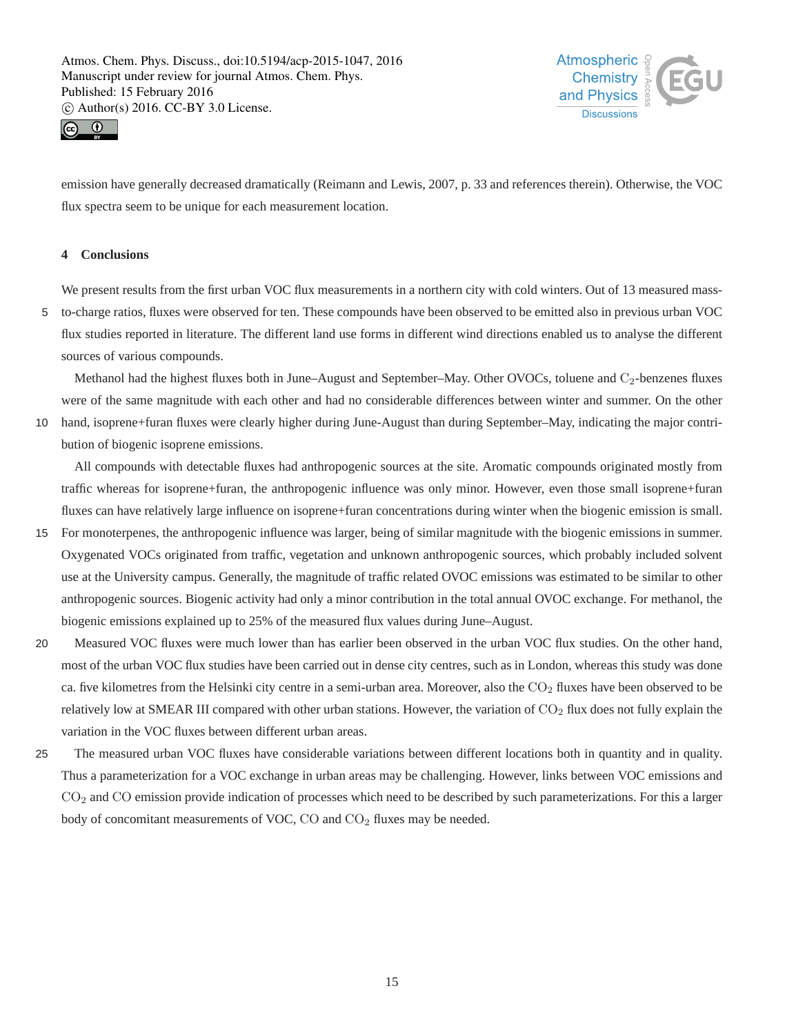



emission have generally decreased dramatically (Reimann and Lewis, 2007, p. 33 and references therein). Otherwise, the VOC flux spectra seem to be unique for each measurement location.

## **4 Conclusions**

We present results from the first urban VOC flux measurements in a northern city with cold winters. Out of 13 measured mass-5 to-charge ratios, fluxes were observed for ten. These compounds have been observed to be emitted also in previous urban VOC flux studies reported in literature. The different land use forms in different wind directions enabled us to analyse the different sources of various compounds.

Methanol had the highest fluxes both in June–August and September–May. Other OVOCs, toluene and C<sub>2</sub>-benzenes fluxes were of the same magnitude with each other and had no considerable differences between winter and summer. On the other

10 hand, isoprene+furan fluxes were clearly higher during June-August than during September–May, indicating the major contribution of biogenic isoprene emissions.

All compounds with detectable fluxes had anthropogenic sources at the site. Aromatic compounds originated mostly from traffic whereas for isoprene+furan, the anthropogenic influence was only minor. However, even those small isoprene+furan fluxes can have relatively large influence on isoprene+furan concentrations during winter when the biogenic emission is small.

- 15 For monoterpenes, the anthropogenic influence was larger, being of similar magnitude with the biogenic emissions in summer. Oxygenated VOCs originated from traffic, vegetation and unknown anthropogenic sources, which probably included solvent use at the University campus. Generally, the magnitude of traffic related OVOC emissions was estimated to be similar to other anthropogenic sources. Biogenic activity had only a minor contribution in the total annual OVOC exchange. For methanol, the biogenic emissions explained up to 25% of the measured flux values during June–August.
- 20 Measured VOC fluxes were much lower than has earlier been observed in the urban VOC flux studies. On the other hand, most of the urban VOC flux studies have been carried out in dense city centres, such as in London, whereas this study was done ca. five kilometres from the Helsinki city centre in a semi-urban area. Moreover, also the  $CO<sub>2</sub>$  fluxes have been observed to be relatively low at SMEAR III compared with other urban stations. However, the variation of  $CO<sub>2</sub>$  flux does not fully explain the variation in the VOC fluxes between different urban areas.
- 25 The measured urban VOC fluxes have considerable variations between different locations both in quantity and in quality. Thus a parameterization for a VOC exchange in urban areas may be challenging. However, links between VOC emissions and CO<sup>2</sup> and CO emission provide indication of processes which need to be described by such parameterizations. For this a larger body of concomitant measurements of VOC,  $CO$  and  $CO<sub>2</sub>$  fluxes may be needed.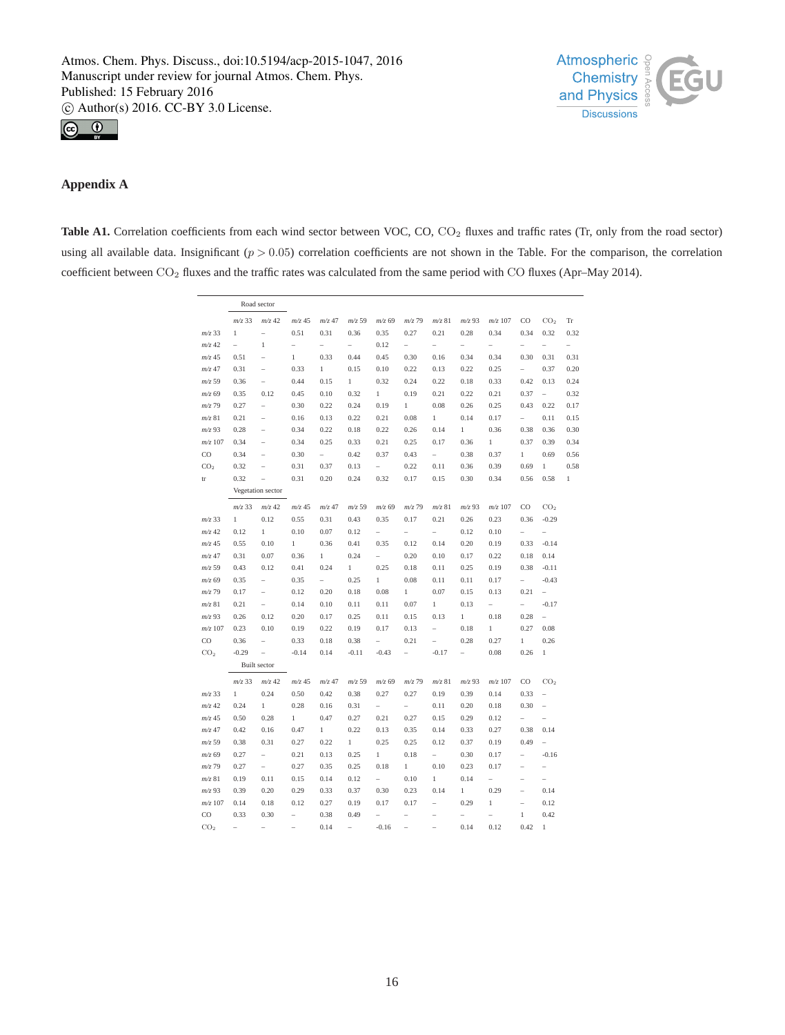



## **Appendix A**

Table A1. Correlation coefficients from each wind sector between VOC, CO, CO<sub>2</sub> fluxes and traffic rates (Tr, only from the road sector) using all available data. Insignificant  $(p > 0.05)$  correlation coefficients are not shown in the Table. For the comparison, the correlation coefficient between CO<sub>2</sub> fluxes and the traffic rates was calculated from the same period with CO fluxes (Apr–May 2014).

|                 |                | Road sector              |                          |                          |                          |                          |                          |                          |                          |                          |                          |                          |                          |
|-----------------|----------------|--------------------------|--------------------------|--------------------------|--------------------------|--------------------------|--------------------------|--------------------------|--------------------------|--------------------------|--------------------------|--------------------------|--------------------------|
|                 | $m/z$ 33       | $m/z$ 42                 | $m/z$ 45                 | $m/z$ 47                 | $m/z$ 59                 | $m/z$ 69                 | $m/z$ 79                 | $m/z$ 81                 | $m/z$ 93                 | $m/z$ 107                | CO                       | CO <sub>2</sub>          | Tr                       |
| $m/z$ 33        | $\mathbf{1}$   | ÷,                       | 0.51                     | 0.31                     | 0.36                     | 0.35                     | 0.27                     | 0.21                     | 0.28                     | 0.34                     | 0.34                     | 0.32                     | 0.32                     |
| $m/z$ 42        | $\overline{a}$ | $\mathbf{1}$             | $\overline{a}$           | $\overline{\phantom{0}}$ | $\overline{\phantom{0}}$ | 0.12                     | $\overline{\phantom{0}}$ | $\overline{a}$           | $\overline{a}$           | $\overline{a}$           | $\overline{\phantom{0}}$ | $\overline{\phantom{0}}$ | $\overline{\phantom{a}}$ |
| $m/z$ 45        | 0.51           | $\overline{\phantom{0}}$ | $\,1$                    | 0.33                     | 0.44                     | 0.45                     | 0.30                     | 0.16                     | 0.34                     | 0.34                     | 0.30                     | 0.31                     | 0.31                     |
| $m/z$ 47        | 0.31           | $\overline{\phantom{0}}$ | 0.33                     | 1                        | 0.15                     | 0.10                     | 0.22                     | 0.13                     | 0.22                     | 0.25                     | $\overline{\phantom{0}}$ | 0.37                     | 0.20                     |
| $m/z$ 59        | 0.36           | ÷,                       | 0.44                     | 0.15                     | $\mathbf{1}$             | 0.32                     | 0.24                     | 0.22                     | 0.18                     | 0.33                     | 0.42                     | 0.13                     | 0.24                     |
| $m/z$ 69        | 0.35           | 0.12                     | 0.45                     | 0.10                     | 0.32                     | $\mathbf{1}$             | 0.19                     | 0.21                     | 0.22                     | 0.21                     | 0.37                     | $\overline{\phantom{0}}$ | 0.32                     |
| $m/z$ 79        | 0.27           | $\bar{ }$                | 0.30                     | 0.22                     | 0.24                     | 0.19                     | $\mathbf{1}$             | 0.08                     | 0.26                     | 0.25                     | 0.43                     | 0.22                     | 0.17                     |
| $m/z$ 81        | 0.21           | $\overline{\phantom{a}}$ | 0.16                     | 0.13                     | 0.22                     | 0.21                     | 0.08                     | $\mathbf{1}$             | 0.14                     | 0.17                     | $\overline{\phantom{0}}$ | 0.11                     | 0.15                     |
| $m/z$ 93        | 0.28           | $\overline{\phantom{0}}$ | 0.34                     | 0.22                     | 0.18                     | 0.22                     | 0.26                     | 0.14                     | 1                        | 0.36                     | 0.38                     | 0.36                     | 0.30                     |
| $m/z$ 107       | 0.34           | $\overline{\phantom{0}}$ | 0.34                     | 0.25                     | 0.33                     | 0.21                     | 0.25                     | 0.17                     | 0.36                     | 1                        | 0.37                     | 0.39                     | 0.34                     |
| $_{\rm CO}$     | 0.34           | $\overline{\phantom{0}}$ | 0.30                     | $\overline{\phantom{0}}$ | 0.42                     | 0.37                     | 0.43                     | $\overline{\phantom{0}}$ | 0.38                     | 0.37                     | 1                        | 0.69                     | 0.56                     |
| CO <sub>2</sub> | 0.32           | ÷,                       | 0.31                     | 0.37                     | 0.13                     | $\overline{\phantom{0}}$ | 0.22                     | 0.11                     | 0.36                     | 0.39                     | 0.69                     | $\mathbf{1}$             | 0.58                     |
| tr              | 0.32           | ÷,                       | 0.31                     | 0.20                     | 0.24                     | 0.32                     | 0.17                     | 0.15                     | 0.30                     | 0.34                     | 0.56                     | 0.58                     | $\,1$                    |
|                 |                | Vegetation sector        |                          |                          |                          |                          |                          |                          |                          |                          |                          |                          |                          |
|                 | $m/z$ 33       | $m/z$ 42                 | $m/z$ 45                 | $m/z$ 47                 | $m/z$ 59                 | $m/z$ 69                 | $m/z$ 79                 | $m/z$ 81                 | $m/z$ 93                 | $m/z$ 107                | CO                       | CO <sub>2</sub>          |                          |
| $m/z$ 33        | $\mathbf{1}$   | 0.12                     | 0.55                     | 0.31                     | 0.43                     | 0.35                     | 0.17                     | 0.21                     | 0.26                     | 0.23                     | 0.36                     | $-0.29$                  |                          |
| $m/z$ 42        | 0.12           | $\mathbf{1}$             | 0.10                     | 0.07                     | 0.12                     | $\overline{\phantom{0}}$ | $\overline{\phantom{0}}$ | $\overline{\phantom{0}}$ | 0.12                     | 0.10                     | $\qquad \qquad -$        | $\overline{a}$           |                          |
| $m/z$ 45        | 0.55           | 0.10                     | $\mathbf{1}$             | 0.36                     | 0.41                     | 0.35                     | 0.12                     | 0.14                     | 0.20                     | 0.19                     | 0.33                     | $-0.14$                  |                          |
| $m/z$ 47        | 0.31           | 0.07                     | 0.36                     | $\mathbf{1}$             | 0.24                     | $\overline{\phantom{0}}$ | 0.20                     | 0.10                     | 0.17                     | 0.22                     | 0.18                     | 0.14                     |                          |
| $m/z$ 59        | 0.43           | 0.12                     | 0.41                     | 0.24                     | 1                        | 0.25                     | 0.18                     | 0.11                     | 0.25                     | 0.19                     | 0.38                     | $-0.11$                  |                          |
| $m/z$ 69        | 0.35           | $\overline{\phantom{a}}$ | 0.35                     | $\overline{\phantom{0}}$ | 0.25                     | $\mathbf{1}$             | 0.08                     | 0.11                     | 0.11                     | 0.17                     | $\overline{\phantom{0}}$ | $-0.43$                  |                          |
| $m/z$ 79        | 0.17           | $\overline{\phantom{0}}$ | 0.12                     | 0.20                     | 0.18                     | 0.08                     | $\mathbf{1}$             | 0.07                     | 0.15                     | 0.13                     | 0.21                     | $\overline{a}$           |                          |
| $m/z$ 81        | 0.21           | $\overline{\phantom{a}}$ | 0.14                     | 0.10                     | 0.11                     | 0.11                     | 0.07                     | $\mathbf{1}$             | 0.13                     | $\overline{\phantom{0}}$ | $\overline{\phantom{0}}$ | $-0.17$                  |                          |
| $m/z$ 93        | 0.26           | 0.12                     | 0.20                     | 0.17                     | 0.25                     | 0.11                     | 0.15                     | 0.13                     | $\mathbf{1}$             | 0.18                     | 0.28                     | $\overline{\phantom{0}}$ |                          |
| $m/z$ 107       | 0.23           | 0.10                     | 0.19                     | 0.22                     | 0.19                     | 0.17                     | 0.13                     | $\overline{\phantom{0}}$ | 0.18                     | 1                        | 0.27                     | 0.08                     |                          |
| $_{\rm CO}$     | 0.36           | $\overline{\phantom{0}}$ | 0.33                     | 0.18                     | 0.38                     |                          | 0.21                     | $\overline{\phantom{0}}$ | 0.28                     | 0.27                     | 1                        | 0.26                     |                          |
| CO <sub>2</sub> | $-0.29$        | $\overline{\phantom{0}}$ | $-0.14$                  | 0.14                     | $-0.11$                  | $-0.43$                  | $\overline{\phantom{0}}$ | $-0.17$                  | $\overline{\phantom{0}}$ | 0.08                     | 0.26                     | $\,1$                    |                          |
|                 |                | <b>Built</b> sector      |                          |                          |                          |                          |                          |                          |                          |                          |                          |                          |                          |
|                 | $m/z$ 33       | $m/z$ 42                 | $m/z$ 45                 | $m/z$ 47                 | $m/z$ 59                 | $m/z$ 69                 | $m/z$ 79                 | $m/z$ 81                 | $m/z$ 93                 | $m/z$ 107                | $_{\rm CO}$              | CO <sub>2</sub>          |                          |
| $m/z$ 33        | $\mathbf{1}$   | 0.24                     | 0.50                     | 0.42                     | 0.38                     | 0.27                     | 0.27                     | 0.19                     | 0.39                     | 0.14                     | 0.33                     |                          |                          |
| $m/z$ 42        | 0.24           | $\mathbf{1}$             | 0.28                     | 0.16                     | 0.31                     | $\overline{\phantom{a}}$ | $\overline{\phantom{a}}$ | 0.11                     | 0.20                     | 0.18                     | 0.30                     | L                        |                          |
| $m/z$ 45        | 0.50           | 0.28                     | $\,1$                    | 0.47                     | 0.27                     | 0.21                     | 0.27                     | 0.15                     | 0.29                     | 0.12                     | $\overline{\phantom{a}}$ |                          |                          |
| $m/z$ 47        | 0.42           | 0.16                     | 0.47                     | $\mathbf{1}$             | 0.22                     | 0.13                     | 0.35                     | 0.14                     | 0.33                     | 0.27                     | 0.38                     | 0.14                     |                          |
| $m/z$ 59        | 0.38           | 0.31                     | 0.27                     | 0.22                     | $\mathbf{1}$             | 0.25                     | 0.25                     | 0.12                     | 0.37                     | 0.19                     | 0.49                     | $\overline{a}$           |                          |
| $m/z$ 69        | 0.27           | $\overline{\phantom{a}}$ | 0.21                     | 0.13                     | 0.25                     | $\mathbf{1}$             | 0.18                     | $\overline{\phantom{0}}$ | 0.30                     | 0.17                     | $\overline{\phantom{a}}$ | $-0.16$                  |                          |
| $m/z$ 79        | 0.27           | $\overline{\phantom{0}}$ | 0.27                     | 0.35                     | 0.25                     | 0.18                     | $\,1$                    | 0.10                     | 0.23                     | 0.17                     | ÷,                       | $\overline{a}$           |                          |
| $m/z$ 81        | 0.19           | 0.11                     | 0.15                     | 0.14                     | 0.12                     | $\overline{\phantom{a}}$ | 0.10                     | $\,1$                    | 0.14                     | $\overline{a}$           | $\overline{\phantom{a}}$ | $\overline{\phantom{0}}$ |                          |
| $m/z$ 93        | 0.39           | 0.20                     | 0.29                     | 0.33                     | 0.37                     | 0.30                     | 0.23                     | 0.14                     | 1                        | 0.29                     | ÷,                       | 0.14                     |                          |
| $m/z$ 107       | 0.14           | 0.18                     | 0.12                     | 0.27                     | 0.19                     | 0.17                     | 0.17                     | $\overline{\phantom{0}}$ | 0.29                     | 1                        | ÷,                       | 0.12                     |                          |
| CO              | 0.33           | 0.30                     | $\overline{\phantom{0}}$ | 0.38                     | 0.49                     | $\overline{\phantom{0}}$ |                          | ÷                        | ÷                        | i.                       | $\,1$                    | 0.42                     |                          |
| CO <sub>2</sub> |                |                          |                          | 0.14                     |                          | $-0.16$                  |                          |                          | 0.14                     | 0.12                     | 0.42                     | $\,1$                    |                          |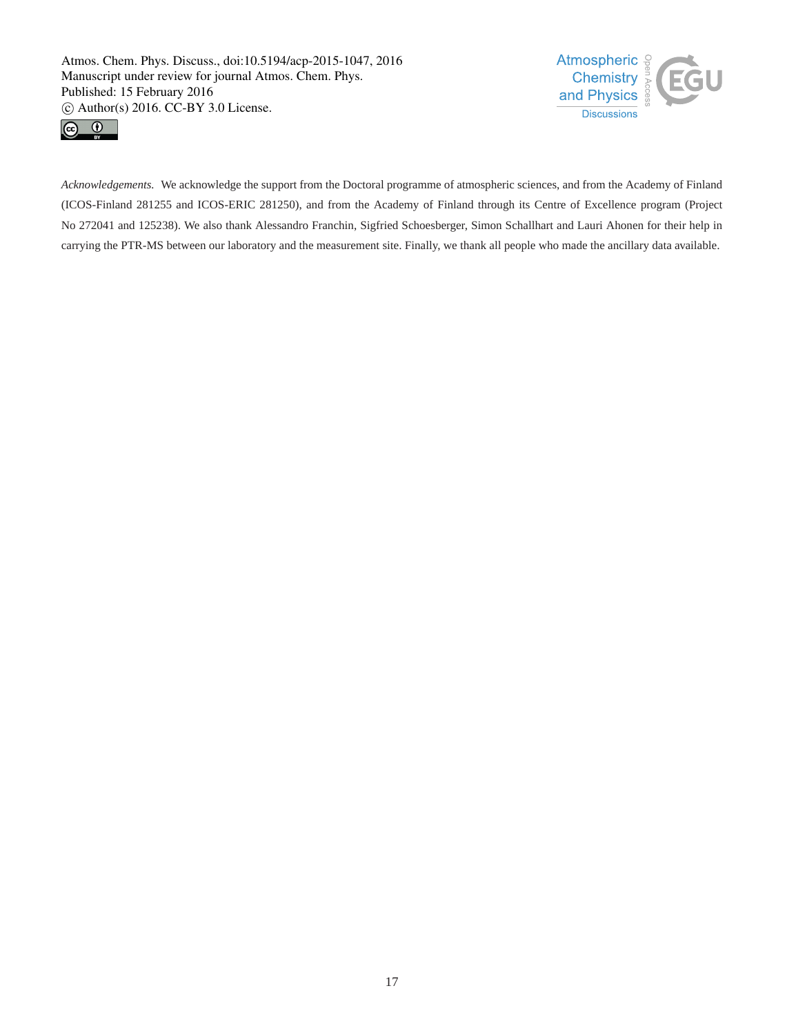



*Acknowledgements.* We acknowledge the support from the Doctoral programme of atmospheric sciences, and from the Academy of Finland (ICOS-Finland 281255 and ICOS-ERIC 281250), and from the Academy of Finland through its Centre of Excellence program (Project No 272041 and 125238). We also thank Alessandro Franchin, Sigfried Schoesberger, Simon Schallhart and Lauri Ahonen for their help in carrying the PTR-MS between our laboratory and the measurement site. Finally, we thank all people who made the ancillary data available.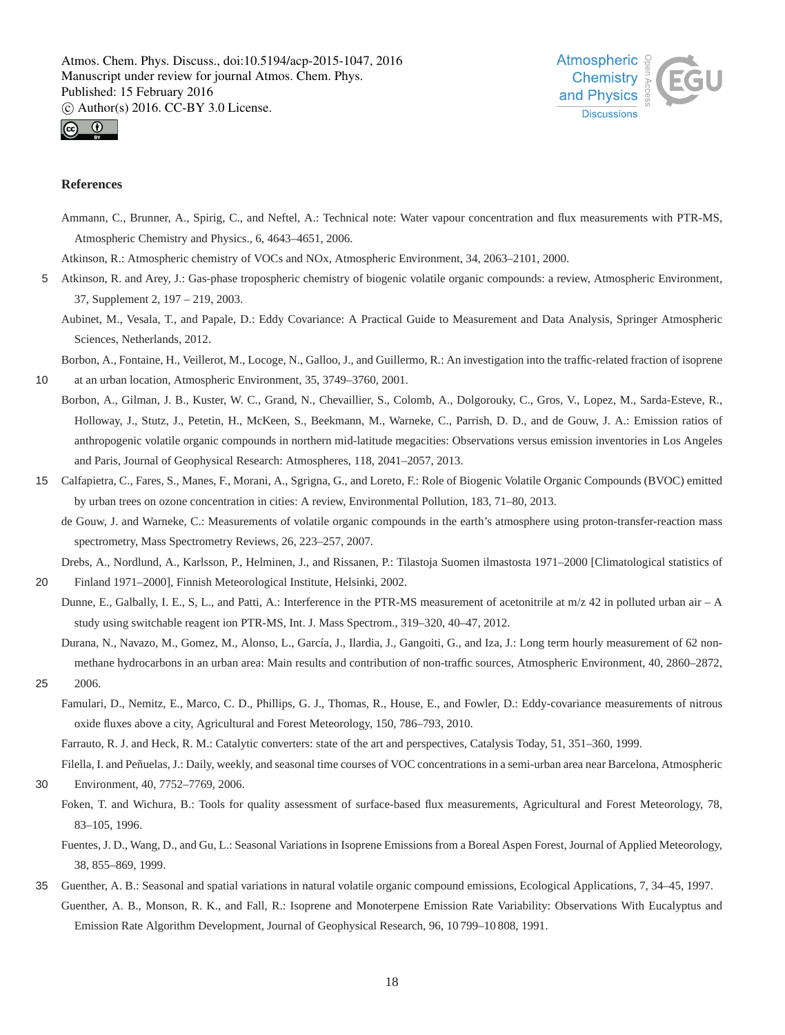



## **References**

Ammann, C., Brunner, A., Spirig, C., and Neftel, A.: Technical note: Water vapour concentration and flux measurements with PTR-MS, Atmospheric Chemistry and Physics., 6, 4643–4651, 2006.

Atkinson, R.: Atmospheric chemistry of VOCs and NOx, Atmospheric Environment, 34, 2063–2101, 2000.

5 Atkinson, R. and Arey, J.: Gas-phase tropospheric chemistry of biogenic volatile organic compounds: a review, Atmospheric Environment, 37, Supplement 2, 197 – 219, 2003.

Aubinet, M., Vesala, T., and Papale, D.: Eddy Covariance: A Practical Guide to Measurement and Data Analysis, Springer Atmospheric Sciences, Netherlands, 2012.

Borbon, A., Fontaine, H., Veillerot, M., Locoge, N., Galloo, J., and Guillermo, R.: An investigation into the traffic-related fraction of isoprene

10 at an urban location, Atmospheric Environment, 35, 3749–3760, 2001.

- Borbon, A., Gilman, J. B., Kuster, W. C., Grand, N., Chevaillier, S., Colomb, A., Dolgorouky, C., Gros, V., Lopez, M., Sarda-Esteve, R., Holloway, J., Stutz, J., Petetin, H., McKeen, S., Beekmann, M., Warneke, C., Parrish, D. D., and de Gouw, J. A.: Emission ratios of anthropogenic volatile organic compounds in northern mid-latitude megacities: Observations versus emission inventories in Los Angeles and Paris, Journal of Geophysical Research: Atmospheres, 118, 2041–2057, 2013.
- 15 Calfapietra, C., Fares, S., Manes, F., Morani, A., Sgrigna, G., and Loreto, F.: Role of Biogenic Volatile Organic Compounds (BVOC) emitted by urban trees on ozone concentration in cities: A review, Environmental Pollution, 183, 71–80, 2013.
	- de Gouw, J. and Warneke, C.: Measurements of volatile organic compounds in the earth's atmosphere using proton-transfer-reaction mass spectrometry, Mass Spectrometry Reviews, 26, 223–257, 2007.

Drebs, A., Nordlund, A., Karlsson, P., Helminen, J., and Rissanen, P.: Tilastoja Suomen ilmastosta 1971–2000 [Climatological statistics of

20 Finland 1971–2000], Finnish Meteorological Institute, Helsinki, 2002. Dunne, E., Galbally, I. E., S, L., and Patti, A.: Interference in the PTR-MS measurement of acetonitrile at m/z 42 in polluted urban air – A study using switchable reagent ion PTR-MS, Int. J. Mass Spectrom., 319–320, 40–47, 2012.

Durana, N., Navazo, M., Gomez, M., Alonso, L., García, J., Ilardia, J., Gangoiti, G., and Iza, J.: Long term hourly measurement of 62 nonmethane hydrocarbons in an urban area: Main results and contribution of non-traffic sources, Atmospheric Environment, 40, 2860–2872,

- 25 2006.
	- Famulari, D., Nemitz, E., Marco, C. D., Phillips, G. J., Thomas, R., House, E., and Fowler, D.: Eddy-covariance measurements of nitrous oxide fluxes above a city, Agricultural and Forest Meteorology, 150, 786–793, 2010.

Farrauto, R. J. and Heck, R. M.: Catalytic converters: state of the art and perspectives, Catalysis Today, 51, 351–360, 1999.

Filella, I. and Peñuelas, J.: Daily, weekly, and seasonal time courses of VOC concentrations in a semi-urban area near Barcelona, Atmospheric 30 Environment, 40, 7752–7769, 2006.

Foken, T. and Wichura, B.: Tools for quality assessment of surface-based flux measurements, Agricultural and Forest Meteorology, 78,

83–105, 1996.

Fuentes, J. D., Wang, D., and Gu, L.: Seasonal Variations in Isoprene Emissions from a Boreal Aspen Forest, Journal of Applied Meteorology, 38, 855–869, 1999.

35 Guenther, A. B.: Seasonal and spatial variations in natural volatile organic compound emissions, Ecological Applications, 7, 34–45, 1997. Guenther, A. B., Monson, R. K., and Fall, R.: Isoprene and Monoterpene Emission Rate Variability: Observations With Eucalyptus and Emission Rate Algorithm Development, Journal of Geophysical Research, 96, 10 799–10 808, 1991.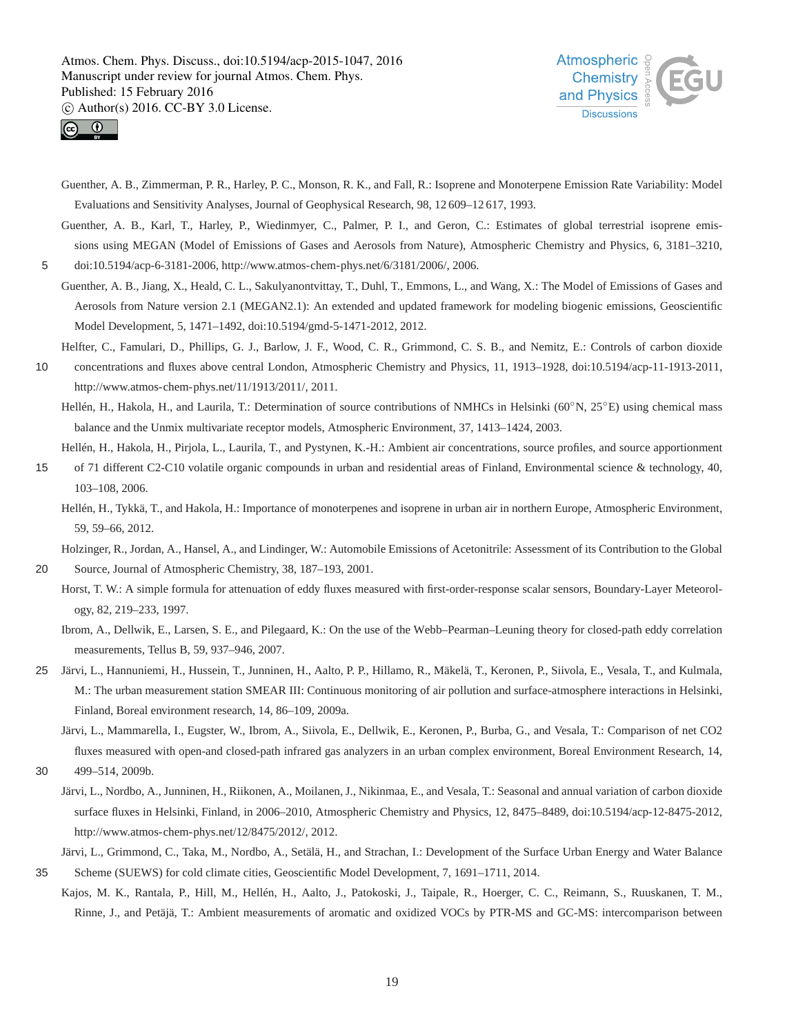



- Guenther, A. B., Zimmerman, P. R., Harley, P. C., Monson, R. K., and Fall, R.: Isoprene and Monoterpene Emission Rate Variability: Model Evaluations and Sensitivity Analyses, Journal of Geophysical Research, 98, 12 609–12 617, 1993.
- Guenther, A. B., Karl, T., Harley, P., Wiedinmyer, C., Palmer, P. I., and Geron, C.: Estimates of global terrestrial isoprene emissions using MEGAN (Model of Emissions of Gases and Aerosols from Nature), Atmospheric Chemistry and Physics, 6, 3181–3210,
- 5 doi:10.5194/acp-6-3181-2006, http://www.atmos-chem-phys.net/6/3181/2006/, 2006.
	- Guenther, A. B., Jiang, X., Heald, C. L., Sakulyanontvittay, T., Duhl, T., Emmons, L., and Wang, X.: The Model of Emissions of Gases and Aerosols from Nature version 2.1 (MEGAN2.1): An extended and updated framework for modeling biogenic emissions, Geoscientific Model Development, 5, 1471–1492, doi:10.5194/gmd-5-1471-2012, 2012.
	- Helfter, C., Famulari, D., Phillips, G. J., Barlow, J. F., Wood, C. R., Grimmond, C. S. B., and Nemitz, E.: Controls of carbon dioxide
- 10 concentrations and fluxes above central London, Atmospheric Chemistry and Physics, 11, 1913–1928, doi:10.5194/acp-11-1913-2011, http://www.atmos-chem-phys.net/11/1913/2011/, 2011.
	- Hellén, H., Hakola, H., and Laurila, T.: Determination of source contributions of NMHCs in Helsinki (60◦N, 25◦E) using chemical mass balance and the Unmix multivariate receptor models, Atmospheric Environment, 37, 1413–1424, 2003.
	- Hellén, H., Hakola, H., Pirjola, L., Laurila, T., and Pystynen, K.-H.: Ambient air concentrations, source profiles, and source apportionment
- 15 of 71 different C2-C10 volatile organic compounds in urban and residential areas of Finland, Environmental science & technology, 40, 103–108, 2006.
	- Hellén, H., Tykkä, T., and Hakola, H.: Importance of monoterpenes and isoprene in urban air in northern Europe, Atmospheric Environment, 59, 59–66, 2012.

Holzinger, R., Jordan, A., Hansel, A., and Lindinger, W.: Automobile Emissions of Acetonitrile: Assessment of its Contribution to the Global

- 20 Source, Journal of Atmospheric Chemistry, 38, 187–193, 2001.
	- Horst, T. W.: A simple formula for attenuation of eddy fluxes measured with first-order-response scalar sensors, Boundary-Layer Meteorology, 82, 219–233, 1997.
		- Ibrom, A., Dellwik, E., Larsen, S. E., and Pilegaard, K.: On the use of the Webb–Pearman–Leuning theory for closed-path eddy correlation measurements, Tellus B, 59, 937–946, 2007.
- 25 Järvi, L., Hannuniemi, H., Hussein, T., Junninen, H., Aalto, P. P., Hillamo, R., Mäkelä, T., Keronen, P., Siivola, E., Vesala, T., and Kulmala, M.: The urban measurement station SMEAR III: Continuous monitoring of air pollution and surface-atmosphere interactions in Helsinki, Finland, Boreal environment research, 14, 86–109, 2009a.
	- Järvi, L., Mammarella, I., Eugster, W., Ibrom, A., Siivola, E., Dellwik, E., Keronen, P., Burba, G., and Vesala, T.: Comparison of net CO2 fluxes measured with open-and closed-path infrared gas analyzers in an urban complex environment, Boreal Environment Research, 14,
- 30 499–514, 2009b.
	- Järvi, L., Nordbo, A., Junninen, H., Riikonen, A., Moilanen, J., Nikinmaa, E., and Vesala, T.: Seasonal and annual variation of carbon dioxide surface fluxes in Helsinki, Finland, in 2006–2010, Atmospheric Chemistry and Physics, 12, 8475–8489, doi:10.5194/acp-12-8475-2012, http://www.atmos-chem-phys.net/12/8475/2012/, 2012.

Järvi, L., Grimmond, C., Taka, M., Nordbo, A., Setälä, H., and Strachan, I.: Development of the Surface Urban Energy and Water Balance

- 35 Scheme (SUEWS) for cold climate cities, Geoscientific Model Development, 7, 1691–1711, 2014.
- Kajos, M. K., Rantala, P., Hill, M., Hellén, H., Aalto, J., Patokoski, J., Taipale, R., Hoerger, C. C., Reimann, S., Ruuskanen, T. M., Rinne, J., and Petäjä, T.: Ambient measurements of aromatic and oxidized VOCs by PTR-MS and GC-MS: intercomparison between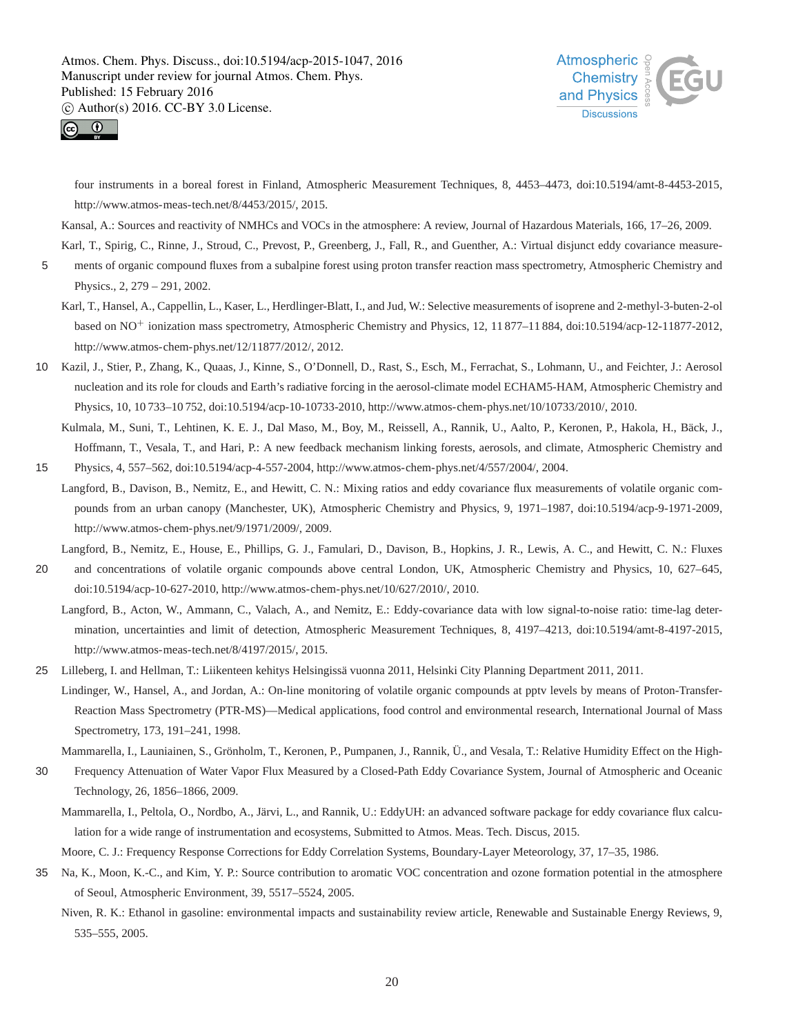



four instruments in a boreal forest in Finland, Atmospheric Measurement Techniques, 8, 4453–4473, doi:10.5194/amt-8-4453-2015, http://www.atmos-meas-tech.net/8/4453/2015/, 2015.

Kansal, A.: Sources and reactivity of NMHCs and VOCs in the atmosphere: A review, Journal of Hazardous Materials, 166, 17–26, 2009.

Karl, T., Spirig, C., Rinne, J., Stroud, C., Prevost, P., Greenberg, J., Fall, R., and Guenther, A.: Virtual disjunct eddy covariance measure-5 ments of organic compound fluxes from a subalpine forest using proton transfer reaction mass spectrometry, Atmospheric Chemistry and

- Physics., 2, 279 291, 2002. Karl, T., Hansel, A., Cappellin, L., Kaser, L., Herdlinger-Blatt, I., and Jud, W.: Selective measurements of isoprene and 2-methyl-3-buten-2-ol based on NO<sup>+</sup> ionization mass spectrometry, Atmospheric Chemistry and Physics, 12, 11 877–11 884, doi:10.5194/acp-12-11877-2012,
	- http://www.atmos-chem-phys.net/12/11877/2012/, 2012.
- 10 Kazil, J., Stier, P., Zhang, K., Quaas, J., Kinne, S., O'Donnell, D., Rast, S., Esch, M., Ferrachat, S., Lohmann, U., and Feichter, J.: Aerosol nucleation and its role for clouds and Earth's radiative forcing in the aerosol-climate model ECHAM5-HAM, Atmospheric Chemistry and Physics, 10, 10 733–10 752, doi:10.5194/acp-10-10733-2010, http://www.atmos-chem-phys.net/10/10733/2010/, 2010.
- Kulmala, M., Suni, T., Lehtinen, K. E. J., Dal Maso, M., Boy, M., Reissell, A., Rannik, U., Aalto, P., Keronen, P., Hakola, H., Bäck, J., Hoffmann, T., Vesala, T., and Hari, P.: A new feedback mechanism linking forests, aerosols, and climate, Atmospheric Chemistry and 15 Physics, 4, 557–562, doi:10.5194/acp-4-557-2004, http://www.atmos-chem-phys.net/4/557/2004/, 2004.
- Langford, B., Davison, B., Nemitz, E., and Hewitt, C. N.: Mixing ratios and eddy covariance flux measurements of volatile organic compounds from an urban canopy (Manchester, UK), Atmospheric Chemistry and Physics, 9, 1971–1987, doi:10.5194/acp-9-1971-2009, http://www.atmos-chem-phys.net/9/1971/2009/, 2009.

Langford, B., Nemitz, E., House, E., Phillips, G. J., Famulari, D., Davison, B., Hopkins, J. R., Lewis, A. C., and Hewitt, C. N.: Fluxes

- 20 and concentrations of volatile organic compounds above central London, UK, Atmospheric Chemistry and Physics, 10, 627–645, doi:10.5194/acp-10-627-2010, http://www.atmos-chem-phys.net/10/627/2010/, 2010.
	- Langford, B., Acton, W., Ammann, C., Valach, A., and Nemitz, E.: Eddy-covariance data with low signal-to-noise ratio: time-lag determination, uncertainties and limit of detection, Atmospheric Measurement Techniques, 8, 4197–4213, doi:10.5194/amt-8-4197-2015, http://www.atmos-meas-tech.net/8/4197/2015/, 2015.
- 25 Lilleberg, I. and Hellman, T.: Liikenteen kehitys Helsingissä vuonna 2011, Helsinki City Planning Department 2011, 2011.
	- Lindinger, W., Hansel, A., and Jordan, A.: On-line monitoring of volatile organic compounds at pptv levels by means of Proton-Transfer-Reaction Mass Spectrometry (PTR-MS)—Medical applications, food control and environmental research, International Journal of Mass Spectrometry, 173, 191–241, 1998.

Mammarella, I., Launiainen, S., Grönholm, T., Keronen, P., Pumpanen, J., Rannik, Ü., and Vesala, T.: Relative Humidity Effect on the High-

- 30 Frequency Attenuation of Water Vapor Flux Measured by a Closed-Path Eddy Covariance System, Journal of Atmospheric and Oceanic Technology, 26, 1856–1866, 2009.
	- Mammarella, I., Peltola, O., Nordbo, A., Järvi, L., and Rannik, U.: EddyUH: an advanced software package for eddy covariance flux calculation for a wide range of instrumentation and ecosystems, Submitted to Atmos. Meas. Tech. Discus, 2015.

Moore, C. J.: Frequency Response Corrections for Eddy Correlation Systems, Boundary-Layer Meteorology, 37, 17–35, 1986.

- 35 Na, K., Moon, K.-C., and Kim, Y. P.: Source contribution to aromatic VOC concentration and ozone formation potential in the atmosphere of Seoul, Atmospheric Environment, 39, 5517–5524, 2005.
	- Niven, R. K.: Ethanol in gasoline: environmental impacts and sustainability review article, Renewable and Sustainable Energy Reviews, 9, 535–555, 2005.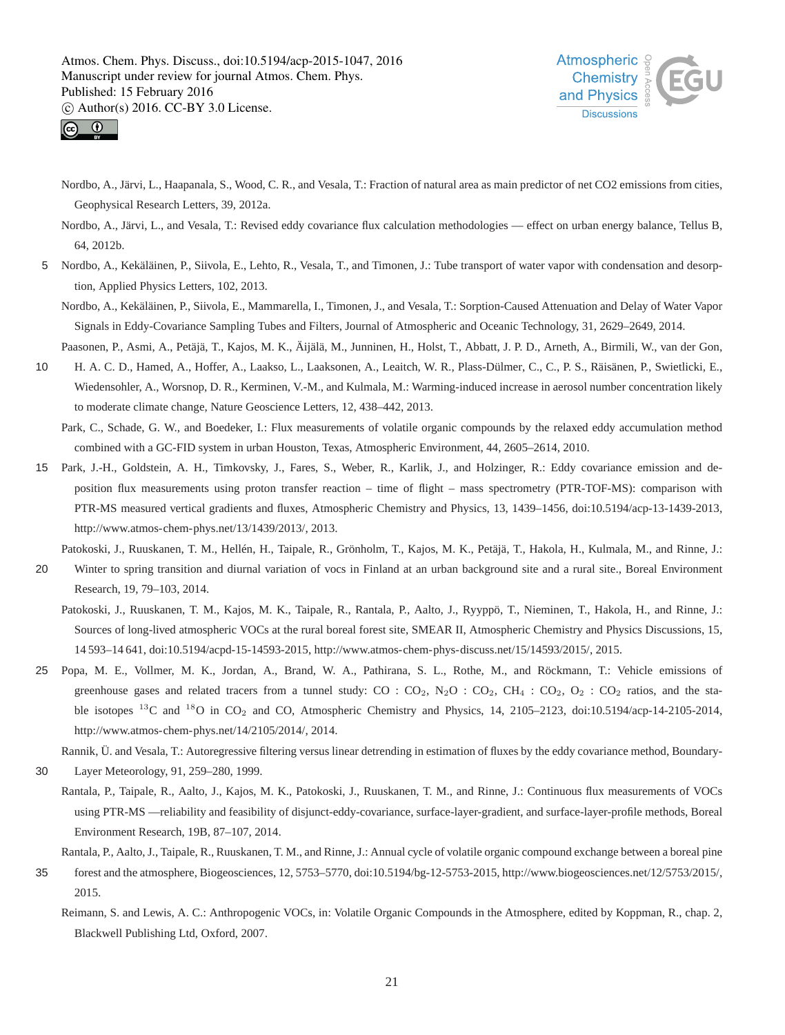



- Nordbo, A., Järvi, L., Haapanala, S., Wood, C. R., and Vesala, T.: Fraction of natural area as main predictor of net CO2 emissions from cities, Geophysical Research Letters, 39, 2012a.
- Nordbo, A., Järvi, L., and Vesala, T.: Revised eddy covariance flux calculation methodologies effect on urban energy balance, Tellus B, 64, 2012b.
- 5 Nordbo, A., Kekäläinen, P., Siivola, E., Lehto, R., Vesala, T., and Timonen, J.: Tube transport of water vapor with condensation and desorption, Applied Physics Letters, 102, 2013.
	- Nordbo, A., Kekäläinen, P., Siivola, E., Mammarella, I., Timonen, J., and Vesala, T.: Sorption-Caused Attenuation and Delay of Water Vapor Signals in Eddy-Covariance Sampling Tubes and Filters, Journal of Atmospheric and Oceanic Technology, 31, 2629–2649, 2014.
	- Paasonen, P., Asmi, A., Petäjä, T., Kajos, M. K., Äijälä, M., Junninen, H., Holst, T., Abbatt, J. P. D., Arneth, A., Birmili, W., van der Gon,
- 10 H. A. C. D., Hamed, A., Hoffer, A., Laakso, L., Laaksonen, A., Leaitch, W. R., Plass-Dülmer, C., C., P. S., Räisänen, P., Swietlicki, E., Wiedensohler, A., Worsnop, D. R., Kerminen, V.-M., and Kulmala, M.: Warming-induced increase in aerosol number concentration likely to moderate climate change, Nature Geoscience Letters, 12, 438–442, 2013.

Park, C., Schade, G. W., and Boedeker, I.: Flux measurements of volatile organic compounds by the relaxed eddy accumulation method combined with a GC-FID system in urban Houston, Texas, Atmospheric Environment, 44, 2605–2614, 2010.

15 Park, J.-H., Goldstein, A. H., Timkovsky, J., Fares, S., Weber, R., Karlik, J., and Holzinger, R.: Eddy covariance emission and deposition flux measurements using proton transfer reaction – time of flight – mass spectrometry (PTR-TOF-MS): comparison with PTR-MS measured vertical gradients and fluxes, Atmospheric Chemistry and Physics, 13, 1439–1456, doi:10.5194/acp-13-1439-2013, http://www.atmos-chem-phys.net/13/1439/2013/, 2013.

Patokoski, J., Ruuskanen, T. M., Hellén, H., Taipale, R., Grönholm, T., Kajos, M. K., Petäjä, T., Hakola, H., Kulmala, M., and Rinne, J.:

- 20 Winter to spring transition and diurnal variation of vocs in Finland at an urban background site and a rural site., Boreal Environment Research, 19, 79–103, 2014.
	- Patokoski, J., Ruuskanen, T. M., Kajos, M. K., Taipale, R., Rantala, P., Aalto, J., Ryyppö, T., Nieminen, T., Hakola, H., and Rinne, J.: Sources of long-lived atmospheric VOCs at the rural boreal forest site, SMEAR II, Atmospheric Chemistry and Physics Discussions, 15, 14 593–14 641, doi:10.5194/acpd-15-14593-2015, http://www.atmos-chem-phys-discuss.net/15/14593/2015/, 2015.
- 25 Popa, M. E., Vollmer, M. K., Jordan, A., Brand, W. A., Pathirana, S. L., Rothe, M., and Röckmann, T.: Vehicle emissions of greenhouse gases and related tracers from a tunnel study:  $CO: CO_2$ ,  $N_2O: CO_2$ ,  $CH_4: CO_2$ ,  $O_2: CO_2$  ratios, and the stable isotopes <sup>13</sup>C and <sup>18</sup>O in CO<sub>2</sub> and CO, Atmospheric Chemistry and Physics, 14, 2105–2123, doi:10.5194/acp-14-2105-2014, http://www.atmos-chem-phys.net/14/2105/2014/, 2014.

Rannik, Ü. and Vesala, T.: Autoregressive filtering versus linear detrending in estimation of fluxes by the eddy covariance method, Boundary-

- 30 Layer Meteorology, 91, 259–280, 1999.
- Rantala, P., Taipale, R., Aalto, J., Kajos, M. K., Patokoski, J., Ruuskanen, T. M., and Rinne, J.: Continuous flux measurements of VOCs using PTR-MS —reliability and feasibility of disjunct-eddy-covariance, surface-layer-gradient, and surface-layer-profile methods, Boreal Environment Research, 19B, 87–107, 2014.

Rantala, P., Aalto, J., Taipale, R., Ruuskanen, T. M., and Rinne, J.: Annual cycle of volatile organic compound exchange between a boreal pine

- 35 forest and the atmosphere, Biogeosciences, 12, 5753–5770, doi:10.5194/bg-12-5753-2015, http://www.biogeosciences.net/12/5753/2015/, 2015.
	- Reimann, S. and Lewis, A. C.: Anthropogenic VOCs, in: Volatile Organic Compounds in the Atmosphere, edited by Koppman, R., chap. 2, Blackwell Publishing Ltd, Oxford, 2007.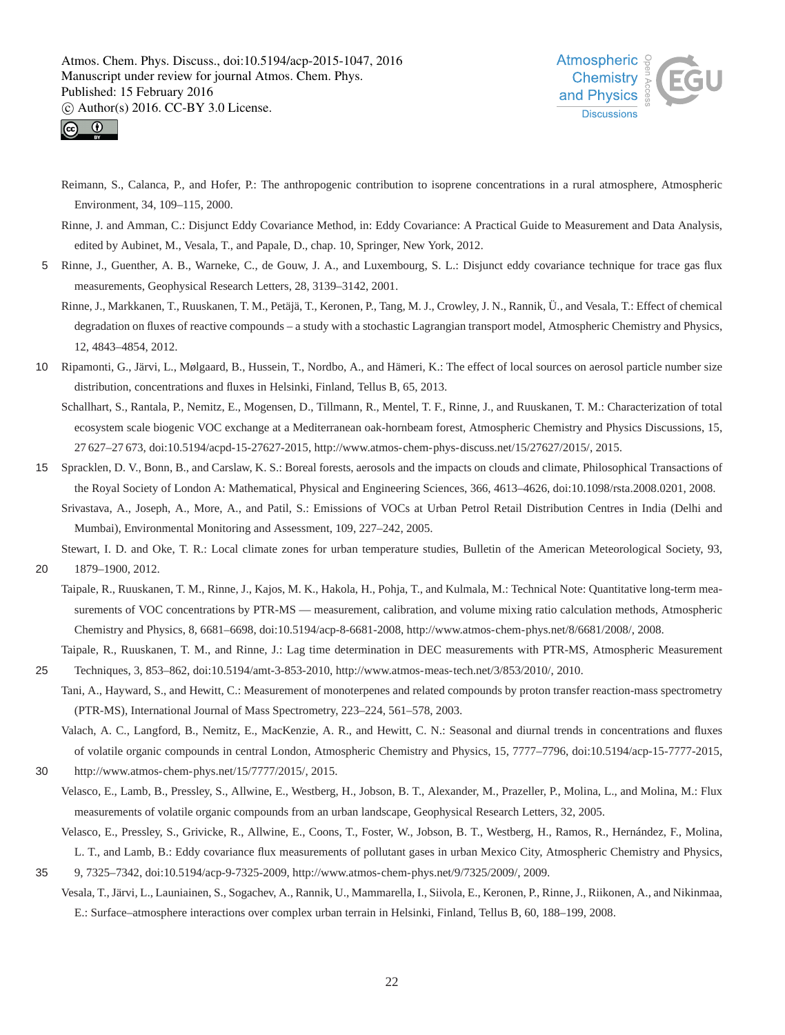



- Reimann, S., Calanca, P., and Hofer, P.: The anthropogenic contribution to isoprene concentrations in a rural atmosphere, Atmospheric Environment, 34, 109–115, 2000.
- Rinne, J. and Amman, C.: Disjunct Eddy Covariance Method, in: Eddy Covariance: A Practical Guide to Measurement and Data Analysis, edited by Aubinet, M., Vesala, T., and Papale, D., chap. 10, Springer, New York, 2012.
- 5 Rinne, J., Guenther, A. B., Warneke, C., de Gouw, J. A., and Luxembourg, S. L.: Disjunct eddy covariance technique for trace gas flux measurements, Geophysical Research Letters, 28, 3139–3142, 2001.
	- Rinne, J., Markkanen, T., Ruuskanen, T. M., Petäjä, T., Keronen, P., Tang, M. J., Crowley, J. N., Rannik, Ü., and Vesala, T.: Effect of chemical degradation on fluxes of reactive compounds – a study with a stochastic Lagrangian transport model, Atmospheric Chemistry and Physics, 12, 4843–4854, 2012.
- 10 Ripamonti, G., Järvi, L., Mølgaard, B., Hussein, T., Nordbo, A., and Hämeri, K.: The effect of local sources on aerosol particle number size distribution, concentrations and fluxes in Helsinki, Finland, Tellus B, 65, 2013.
	- Schallhart, S., Rantala, P., Nemitz, E., Mogensen, D., Tillmann, R., Mentel, T. F., Rinne, J., and Ruuskanen, T. M.: Characterization of total ecosystem scale biogenic VOC exchange at a Mediterranean oak-hornbeam forest, Atmospheric Chemistry and Physics Discussions, 15, 27 627–27 673, doi:10.5194/acpd-15-27627-2015, http://www.atmos-chem-phys-discuss.net/15/27627/2015/, 2015.
- 15 Spracklen, D. V., Bonn, B., and Carslaw, K. S.: Boreal forests, aerosols and the impacts on clouds and climate, Philosophical Transactions of the Royal Society of London A: Mathematical, Physical and Engineering Sciences, 366, 4613–4626, doi:10.1098/rsta.2008.0201, 2008.
	- Srivastava, A., Joseph, A., More, A., and Patil, S.: Emissions of VOCs at Urban Petrol Retail Distribution Centres in India (Delhi and Mumbai), Environmental Monitoring and Assessment, 109, 227–242, 2005.

Stewart, I. D. and Oke, T. R.: Local climate zones for urban temperature studies, Bulletin of the American Meteorological Society, 93,

20 1879–1900, 2012.

- Taipale, R., Ruuskanen, T. M., Rinne, J., Kajos, M. K., Hakola, H., Pohja, T., and Kulmala, M.: Technical Note: Quantitative long-term measurements of VOC concentrations by PTR-MS — measurement, calibration, and volume mixing ratio calculation methods, Atmospheric Chemistry and Physics, 8, 6681–6698, doi:10.5194/acp-8-6681-2008, http://www.atmos-chem-phys.net/8/6681/2008/, 2008.
- Taipale, R., Ruuskanen, T. M., and Rinne, J.: Lag time determination in DEC measurements with PTR-MS, Atmospheric Measurement 25 Techniques, 3, 853–862, doi:10.5194/amt-3-853-2010, http://www.atmos-meas-tech.net/3/853/2010/, 2010.
	- Tani, A., Hayward, S., and Hewitt, C.: Measurement of monoterpenes and related compounds by proton transfer reaction-mass spectrometry (PTR-MS), International Journal of Mass Spectrometry, 223–224, 561–578, 2003.
		- Valach, A. C., Langford, B., Nemitz, E., MacKenzie, A. R., and Hewitt, C. N.: Seasonal and diurnal trends in concentrations and fluxes of volatile organic compounds in central London, Atmospheric Chemistry and Physics, 15, 7777–7796, doi:10.5194/acp-15-7777-2015,
- 30 http://www.atmos-chem-phys.net/15/7777/2015/, 2015.
	- Velasco, E., Lamb, B., Pressley, S., Allwine, E., Westberg, H., Jobson, B. T., Alexander, M., Prazeller, P., Molina, L., and Molina, M.: Flux measurements of volatile organic compounds from an urban landscape, Geophysical Research Letters, 32, 2005.
	- Velasco, E., Pressley, S., Grivicke, R., Allwine, E., Coons, T., Foster, W., Jobson, B. T., Westberg, H., Ramos, R., Hernández, F., Molina, L. T., and Lamb, B.: Eddy covariance flux measurements of pollutant gases in urban Mexico City, Atmospheric Chemistry and Physics,
- 35 9, 7325–7342, doi:10.5194/acp-9-7325-2009, http://www.atmos-chem-phys.net/9/7325/2009/, 2009. Vesala, T., Järvi, L., Launiainen, S., Sogachev, A., Rannik, U., Mammarella, I., Siivola, E., Keronen, P., Rinne, J., Riikonen, A., and Nikinmaa, E.: Surface–atmosphere interactions over complex urban terrain in Helsinki, Finland, Tellus B, 60, 188–199, 2008.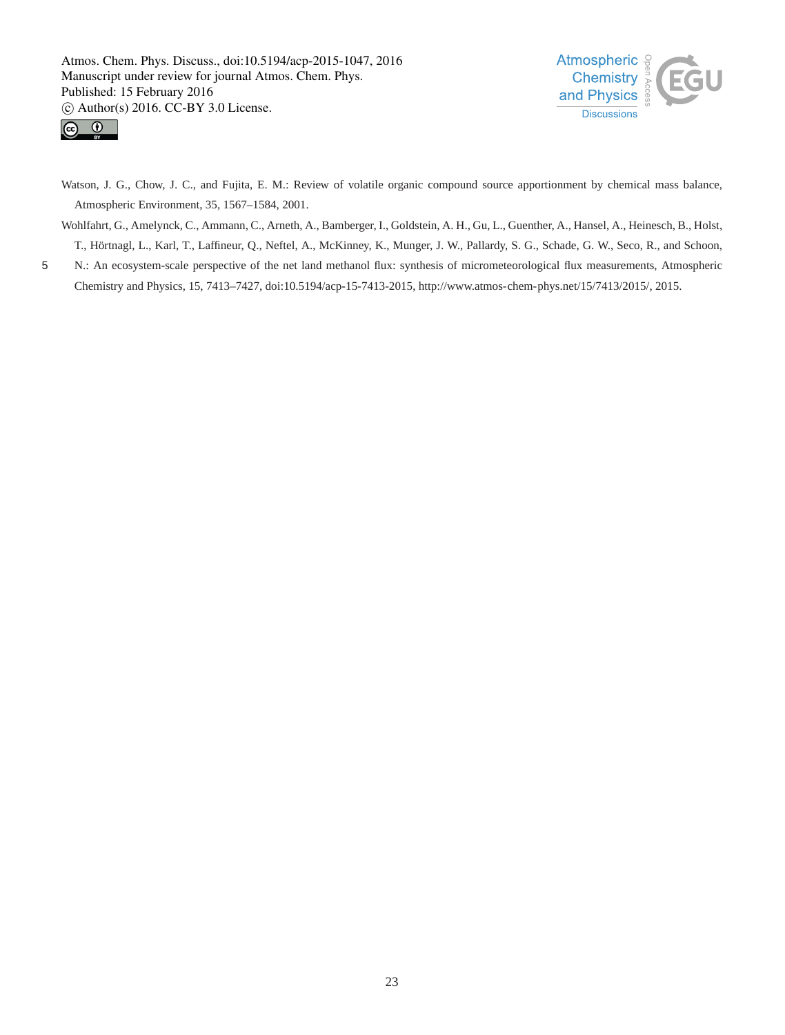



Watson, J. G., Chow, J. C., and Fujita, E. M.: Review of volatile organic compound source apportionment by chemical mass balance, Atmospheric Environment, 35, 1567–1584, 2001.

Wohlfahrt, G., Amelynck, C., Ammann, C., Arneth, A., Bamberger, I., Goldstein, A. H., Gu, L., Guenther, A., Hansel, A., Heinesch, B., Holst, T., Hörtnagl, L., Karl, T., Laffineur, Q., Neftel, A., McKinney, K., Munger, J. W., Pallardy, S. G., Schade, G. W., Seco, R., and Schoon,

5 N.: An ecosystem-scale perspective of the net land methanol flux: synthesis of micrometeorological flux measurements, Atmospheric Chemistry and Physics, 15, 7413–7427, doi:10.5194/acp-15-7413-2015, http://www.atmos-chem-phys.net/15/7413/2015/, 2015.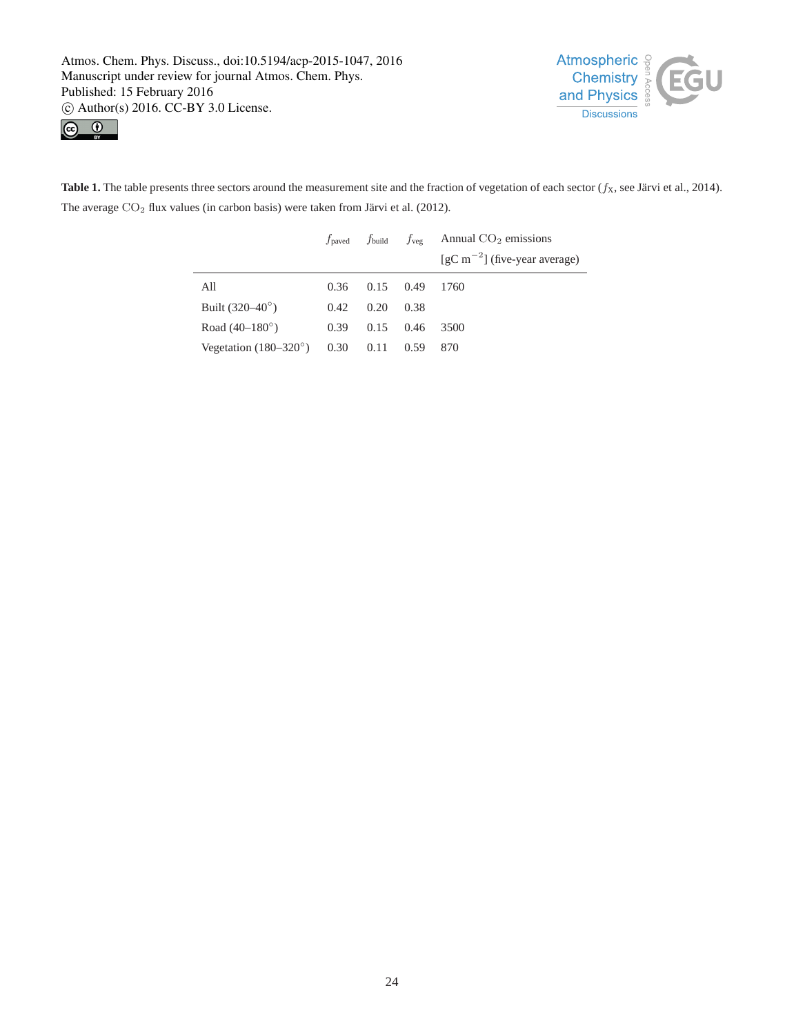$\overline{a}$ 





**Table 1.** The table presents three sectors around the measurement site and the fraction of vegetation of each sector  $(f_X)$ , see Järvi et al., 2014). The average  $CO<sub>2</sub>$  flux values (in carbon basis) were taken from Järvi et al. (2012).

|                                                   |      |                      |        | $f_{\text{paved}}$ $f_{\text{build}}$ $f_{\text{veg}}$ Annual CO <sub>2</sub> emissions |
|---------------------------------------------------|------|----------------------|--------|-----------------------------------------------------------------------------------------|
|                                                   |      |                      |        | $\left[gC\,m^{-2}\right]$ (five-year average)                                           |
| All                                               |      | $0.36$ $0.15$ $0.49$ |        | 1760                                                                                    |
| Built $(320-40^\circ)$                            | 0.42 | 0.20                 | - 0.38 |                                                                                         |
| Road $(40-180^{\circ})$                           | 0.39 | $0.15$ 0.46          |        | 3500                                                                                    |
| Vegetation $(180-320^{\circ})$ 0.30 0.11 0.59 870 |      |                      |        |                                                                                         |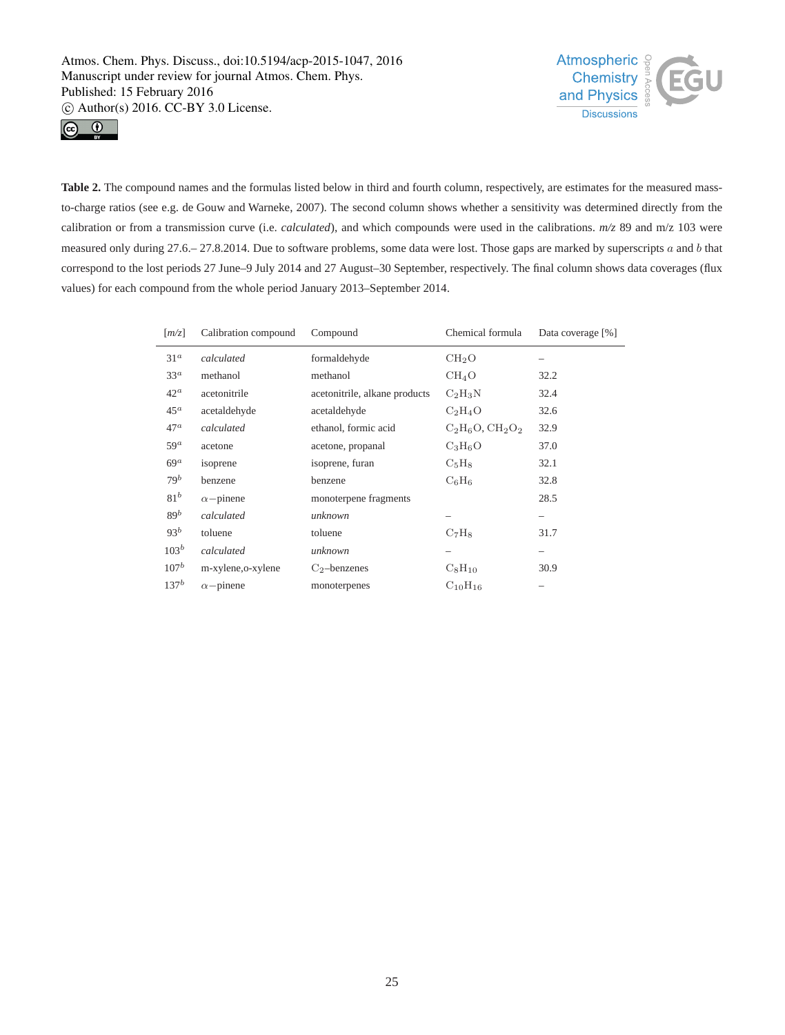



Table 2. The compound names and the formulas listed below in third and fourth column, respectively, are estimates for the measured massto-charge ratios (see e.g. de Gouw and Warneke, 2007). The second column shows whether a sensitivity was determined directly from the calibration or from a transmission curve (i.e. *calculated*), and which compounds were used in the calibrations. *m/z* 89 and m/z 103 were measured only during 27.6.–27.8.2014. Due to software problems, some data were lost. Those gaps are marked by superscripts a and b that correspond to the lost periods 27 June–9 July 2014 and 27 August–30 September, respectively. The final column shows data coverages (flux values) for each compound from the whole period January 2013–September 2014.

| $\left[\frac{m}{z}\right]$ | Calibration compound | Compound                      | Chemical formula      | Data coverage [%] |
|----------------------------|----------------------|-------------------------------|-----------------------|-------------------|
| 31 <sup>a</sup>            | calculated           | formaldehyde                  | CH <sub>2</sub> O     |                   |
| $33^a$                     | methanol             | methanol                      | $CH_4O$               | 32.2              |
| $42^a$                     | acetonitrile         | acetonitrile, alkane products | $C_2H_3N$             | 32.4              |
| $45^a$                     | acetaldehyde         | acetaldehyde                  | $C_2H_4O$             | 32.6              |
| $47^a$                     | calculated           | ethanol, formic acid          | $C_2H_6O$ , $CH_2O_2$ | 32.9              |
| $59^a$                     | acetone              | acetone, propanal             | $C_3H_6O$             | 37.0              |
| $69^a$                     | isoprene             | isoprene, furan               | $C_5H_8$              | 32.1              |
| $79^b$                     | benzene              | benzene                       | $C_6H_6$              | 32.8              |
| 81 <sup>b</sup>            | $\alpha$ -pinene     | monoterpene fragments         |                       | 28.5              |
| 89 <sup>b</sup>            | calculated           | unknown                       |                       |                   |
| $93^b$                     | toluene              | toluene                       | $C_7H_8$              | 31.7              |
| $103^b$                    | calculated           | unknown                       |                       |                   |
| $107^b$                    | m-xylene, o-xylene   | $C_2$ -benzenes               | $C_8H_{10}$           | 30.9              |
| $137^b$                    | $\alpha$ -pinene     | monoterpenes                  | $C_{10}H_{16}$        |                   |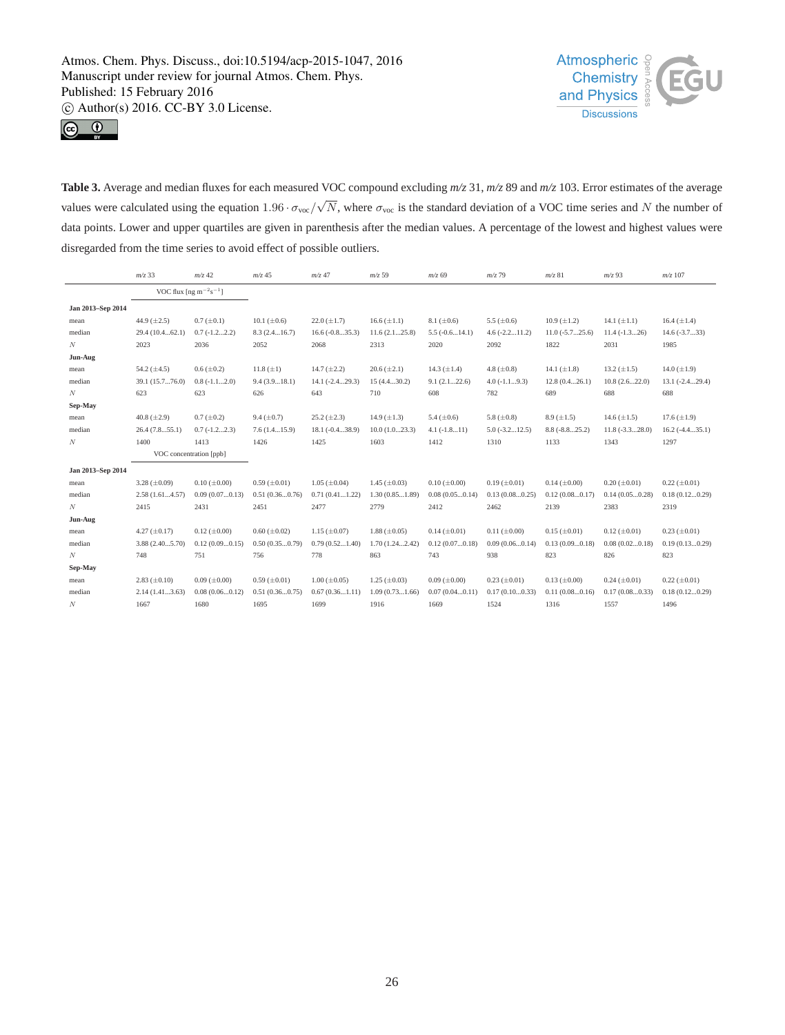



**Table 3.** Average and median fluxes for each measured VOC compound excluding *m/z* 31, *m/z* 89 and *m/z* 103. Error estimates of the average values were calculated using the equation 1.96 ·  $\sigma_{\text{voc}}/\sqrt{N}$ , where  $\sigma_{\text{voc}}$  is the standard deviation of a VOC time series and N the number of data points. Lower and upper quartiles are given in parenthesis after the median values. A percentage of the lowest and highest values were disregarded from the time series to avoid effect of possible outliers.

|                   | $m/z$ 33            | $m/z$ 42                                                                 | $m/z$ 45            | $m/z$ 47            | $m/z$ 59            | $m/z$ 69            | $m/z$ 79            | $m/z$ 81            | $m/z$ 93            | $m/z$ 107           |
|-------------------|---------------------|--------------------------------------------------------------------------|---------------------|---------------------|---------------------|---------------------|---------------------|---------------------|---------------------|---------------------|
|                   |                     | VOC flux [ng m <sup><math>-2</math></sup> s <sup><math>-1</math></sup> ] |                     |                     |                     |                     |                     |                     |                     |                     |
| Jan 2013-Sep 2014 |                     |                                                                          |                     |                     |                     |                     |                     |                     |                     |                     |
| mean              | 44.9 $(\pm 2.5)$    | $0.7 (\pm 0.1)$                                                          | $10.1 (\pm 0.6)$    | $22.0 (\pm 1.7)$    | $16.6 (\pm 1.1)$    | $8.1 (\pm 0.6)$     | 5.5 $(\pm 0.6)$     | $10.9 \ (\pm 1.2)$  | 14.1 $(\pm 1.1)$    | $16.4 (\pm 1.4)$    |
| median            | 29.4 (10.462.1)     | $0.7(-1.22.2)$                                                           | 8.3(2.416.7)        | $16.6(-0.835.3)$    | 11.6(2.125.8)       | $5.5(-0.614.1)$     | $4.6(-2.211.2)$     | $11.0(-5.725.6)$    | $11.4(-1.326)$      | $14.6(-3.733)$      |
| N                 | 2023                | 2036                                                                     | 2052                | 2068                | 2313                | 2020                | 2092                | 1822                | 2031                | 1985                |
| Jun-Aug           |                     |                                                                          |                     |                     |                     |                     |                     |                     |                     |                     |
| mean              | 54.2 $(\pm 4.5)$    | $0.6 (\pm 0.2)$                                                          | 11.8 $(\pm 1)$      | 14.7 $(\pm 2.2)$    | $20.6 (\pm 2.1)$    | 14.3 $(\pm 1.4)$    | 4.8 $(\pm 0.8)$     | 14.1 $(\pm 1.8)$    | 13.2 $(\pm 1.5)$    | 14.0 $(\pm 1.9)$    |
| median            | 39.1 (15.776.0)     | $0.8(-1.12.0)$                                                           | 9.4(3.918.1)        | $14.1 (-2.429.3)$   | 15(4.430.2)         | 9.1(2.122.6)        | $4.0(-1.19.3)$      | 12.8(0.426.1)       | 10.8(2.622.0)       | $13.1 (-2.429.4)$   |
| N                 | 623                 | 623                                                                      | 626                 | 643                 | 710                 | 608                 | 782                 | 689                 | 688                 | 688                 |
| Sep-May           |                     |                                                                          |                     |                     |                     |                     |                     |                     |                     |                     |
| mean              | 40.8 $(\pm 2.9)$    | $0.7 (\pm 0.2)$                                                          | $9.4 (\pm 0.7)$     | $25.2 (\pm 2.3)$    | $14.9 \ (\pm 1.3)$  | 5.4 $(\pm 0.6)$     | 5.8 $(\pm 0.8)$     | $8.9 \ (\pm 1.5)$   | 14.6 $(\pm 1.5)$    | $17.6 (\pm 1.9)$    |
| median            | 26.4(7.855.1)       | $0.7(-1.22.3)$                                                           | 7.6(1.415.9)        | $18.1(-0.438.9)$    | 10.0(1.023.3)       | $4.1(-1.811)$       | $5.0(-3.212.5)$     | $8.8(-8.825.2)$     | $11.8(-3.328.0)$    | $16.2(-4.435.1)$    |
| N                 | 1400                | 1413                                                                     | 1426                | 1425                | 1603                | 1412                | 1310                | 1133                | 1343                | 1297                |
|                   |                     | VOC concentration [ppb]                                                  |                     |                     |                     |                     |                     |                     |                     |                     |
| Jan 2013-Sep 2014 |                     |                                                                          |                     |                     |                     |                     |                     |                     |                     |                     |
| mean              | 3.28 $(\pm 0.09)$   | $0.10 (\pm 0.00)$                                                        | $0.59 \ (\pm 0.01)$ | $1.05 (\pm 0.04)$   | $1.45 \ (\pm 0.03)$ | $0.10 \ (\pm 0.00)$ | $0.19 \ (\pm 0.01)$ | $0.14 \ (\pm 0.00)$ | $0.20 (\pm 0.01)$   | $0.22 (\pm 0.01)$   |
| median            | 2.58(1.614.57)      | 0.09(0.070.13)                                                           | 0.51(0.360.76)      | 0.71(0.411.22)      | 1.30(0.851.89)      | 0.08(0.050.14)      | 0.13(0.080.25)      | 0.12(0.080.17)      | 0.14(0.050.28)      | 0.18(0.120.29)      |
| $\boldsymbol{N}$  | 2415                | 2431                                                                     | 2451                | 2477                | 2779                | 2412                | 2462                | 2139                | 2383                | 2319                |
| Jun-Aug           |                     |                                                                          |                     |                     |                     |                     |                     |                     |                     |                     |
| mean              | $4.27 \ (\pm 0.17)$ | $0.12 \ (\pm 0.00)$                                                      | $0.60 \ (\pm 0.02)$ | $1.15 \ (\pm 0.07)$ | $1.88 \ (\pm 0.05)$ | $0.14 \ (\pm 0.01)$ | $0.11 (\pm 0.00)$   | $0.15 (\pm 0.01)$   | $0.12 \ (\pm 0.01)$ | $0.23 \ (\pm 0.01)$ |
| median            | 3.88 (2.405.70)     | 0.12(0.090.15)                                                           | 0.50(0.350.79)      | 0.79(0.521.40)      | 1.70(1.242.42)      | 0.12(0.070.18)      | 0.09(0.060.14)      | 0.13(0.090.18)      | 0.08(0.020.18)      | 0.19(0.130.29)      |
| N                 | 748                 | 751                                                                      | 756                 | 778                 | 863                 | 743                 | 938                 | 823                 | 826                 | 823                 |
| Sep-May           |                     |                                                                          |                     |                     |                     |                     |                     |                     |                     |                     |
| mean              | $2.83 \ (\pm 0.10)$ | $0.09$ ( $\pm 0.00$ )                                                    | $0.59 \ (\pm 0.01)$ | $1.00 \ (\pm 0.05)$ | $1.25 \ (\pm 0.03)$ | $0.09 \ (\pm 0.00)$ | $0.23 \ (\pm 0.01)$ | $0.13 \ (\pm 0.00)$ | $0.24 (\pm 0.01)$   | $0.22 (\pm 0.01)$   |
| median            | 2.14(1.413.63)      | 0.08(0.060.12)                                                           | 0.51(0.360.75)      | 0.67(0.361.11)      | 1.09(0.731.66)      | 0.07(0.040.11)      | 0.17(0.100.33)      | 0.11(0.080.16)      | 0.17(0.080.33)      | 0.18(0.120.29)      |
| N                 | 1667                | 1680                                                                     | 1695                | 1699                | 1916                | 1669                | 1524                | 1316                | 1557                | 1496                |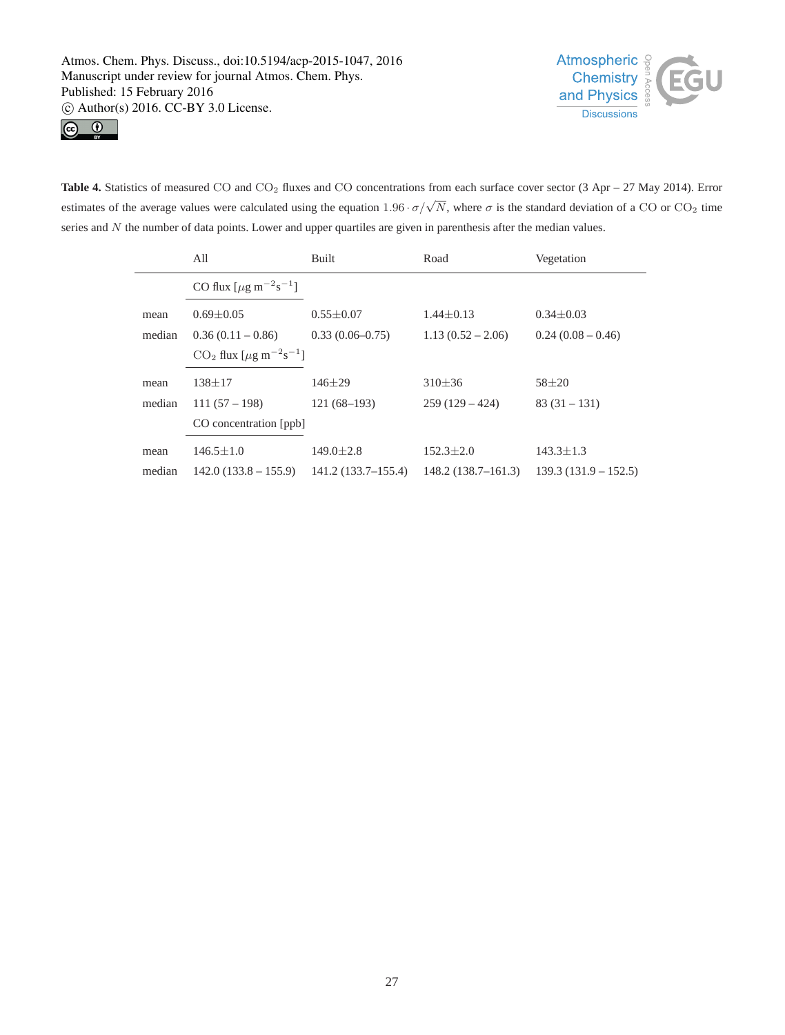



Table 4. Statistics of measured CO and CO<sub>2</sub> fluxes and CO concentrations from each surface cover sector (3 Apr – 27 May 2014). Error estimates of the average values were calculated using the equation  $1.96 \cdot \sigma/\sqrt{N}$ , where  $\sigma$  is the standard deviation of a CO or CO<sub>2</sub> time series and N the number of data points. Lower and upper quartiles are given in parenthesis after the median values.

|        | All                                                     | Built               | Road                | Vegetation             |  |  |  |
|--------|---------------------------------------------------------|---------------------|---------------------|------------------------|--|--|--|
|        | CO flux $[\mu g \, m^{-2} s^{-1}]$                      |                     |                     |                        |  |  |  |
| mean   | $0.69 \pm 0.05$                                         | $0.55 \pm 0.07$     | $1.44 + 0.13$       | $0.34 \pm 0.03$        |  |  |  |
| median | $0.36(0.11-0.86)$                                       | $0.33(0.06 - 0.75)$ | $1.13(0.52 - 2.06)$ | $0.24(0.08-0.46)$      |  |  |  |
|        | $CO_2$ flux [ $\mu$ g m <sup>-2</sup> s <sup>-1</sup> ] |                     |                     |                        |  |  |  |
| mean   | $138 + 17$                                              | $146 + 29$          | $310 + 36$          | $58 + 20$              |  |  |  |
| median | $111(57-198)$                                           | $121(68-193)$       | $259(129-424)$      | $83(31-131)$           |  |  |  |
|        | CO concentration [ppb]                                  |                     |                     |                        |  |  |  |
| mean   | $146.5 \pm 1.0$                                         | $149.0 \pm 2.8$     | $152.3 + 2.0$       | $143.3 \pm 1.3$        |  |  |  |
| median | $142.0(133.8-155.9)$                                    | 141.2(133.7–155.4)  | 148.2(138.7–161.3)  | $139.3(131.9 - 152.5)$ |  |  |  |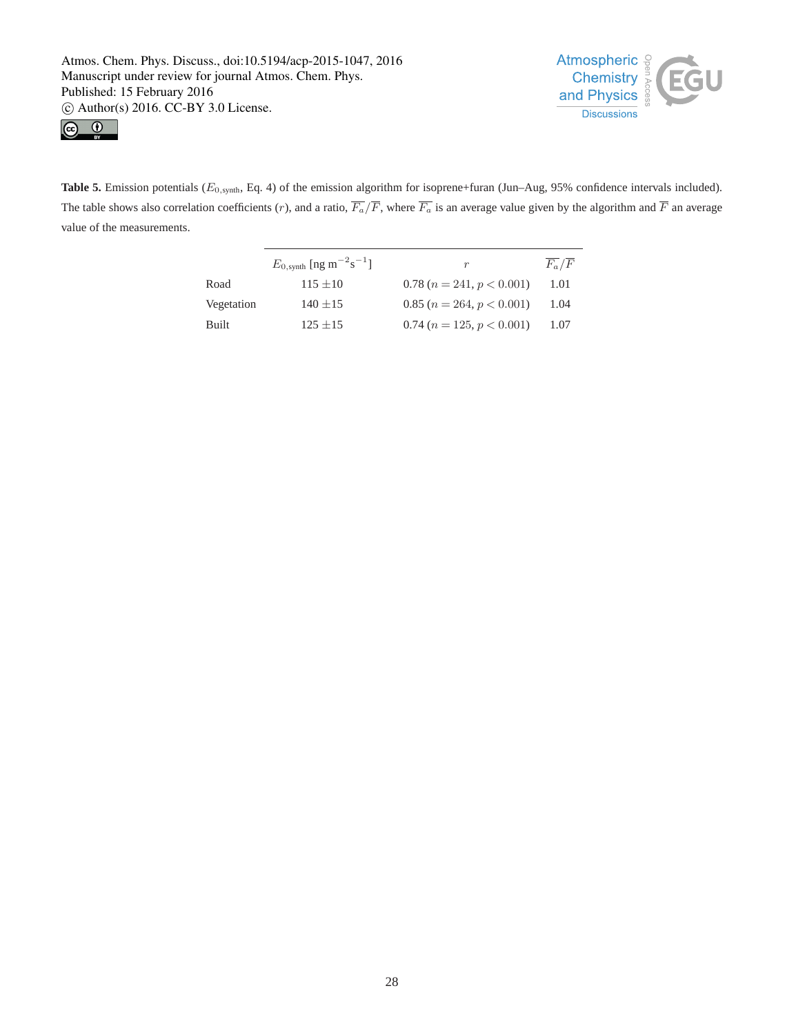



Table 5. Emission potentials ( $E_{0, \text{synth}}$ , Eq. 4) of the emission algorithm for isoprene+furan (Jun–Aug, 95% confidence intervals included). The table shows also correlation coefficients (r), and a ratio,  $\overline{F_a}/\overline{F}$ , where  $\overline{F_a}$  is an average value given by the algorithm and  $\overline{F}$  an average value of the measurements.

|              | $E_{0,\text{synth}}$ [ng m <sup>-2</sup> s <sup>-1</sup> ] | r                           | $F_a/F$ |
|--------------|------------------------------------------------------------|-----------------------------|---------|
| Road         | $115 + 10$                                                 | $0.78(n = 241, p < 0.001)$  | 1.01    |
| Vegetation   | $140 \pm 15$                                               | $0.85(n = 264, p < 0.001)$  | 1.04    |
| <b>Built</b> | $125 \pm 15$                                               | $0.74 (n = 125, p < 0.001)$ | 1.07    |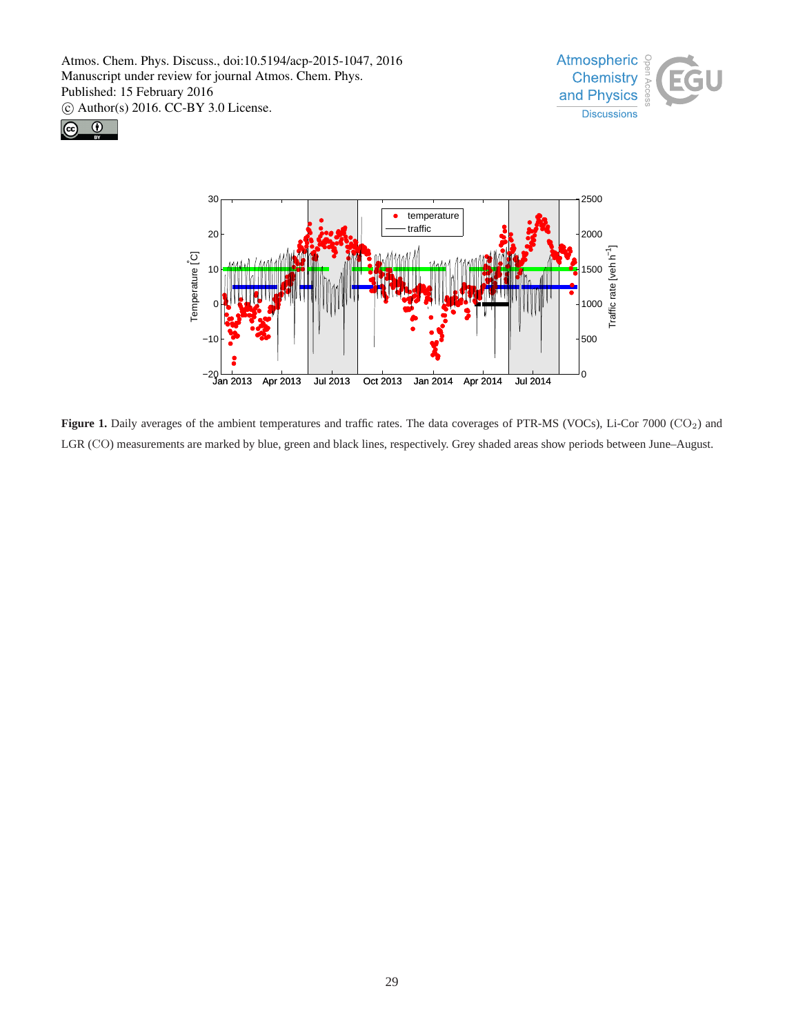





**Figure 1.** Daily averages of the ambient temperatures and traffic rates. The data coverages of PTR-MS (VOCs), Li-Cor 7000 (CO2) and LGR (CO) measurements are marked by blue, green and black lines, respectively. Grey shaded areas show periods between June–August.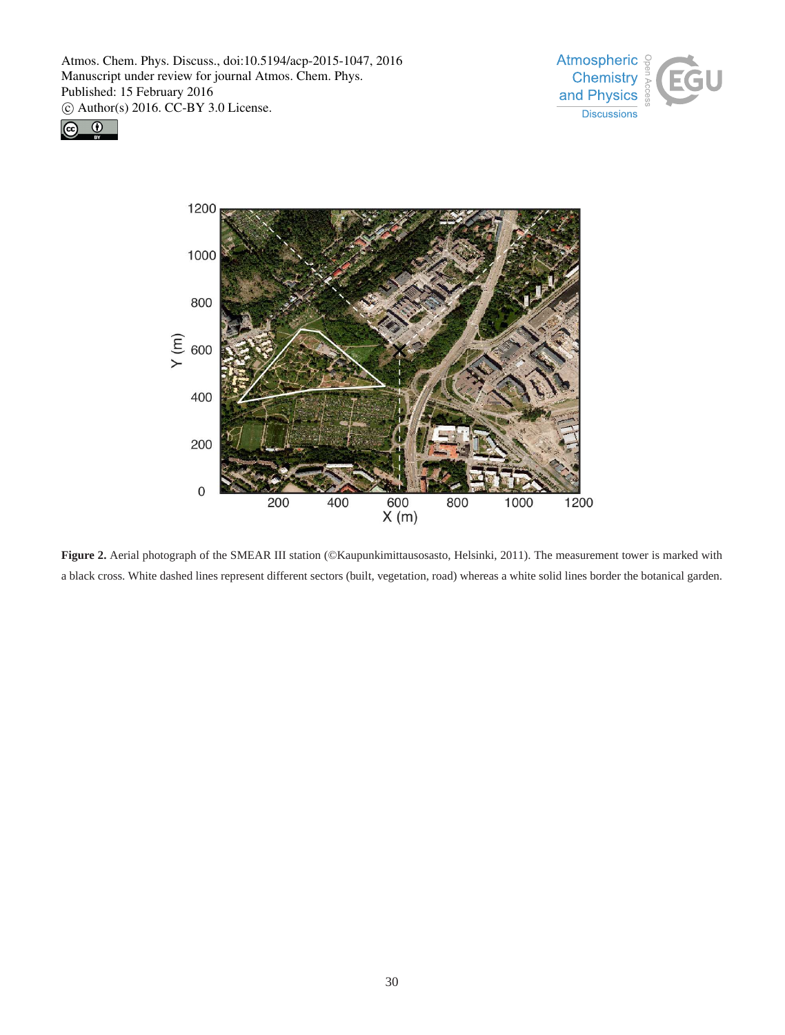





**Figure 2.** Aerial photograph of the SMEAR III station (©Kaupunkimittausosasto, Helsinki, 2011). The measurement tower is marked with a black cross. White dashed lines represent different sectors (built, vegetation, road) whereas a white solid lines border the botanical garden.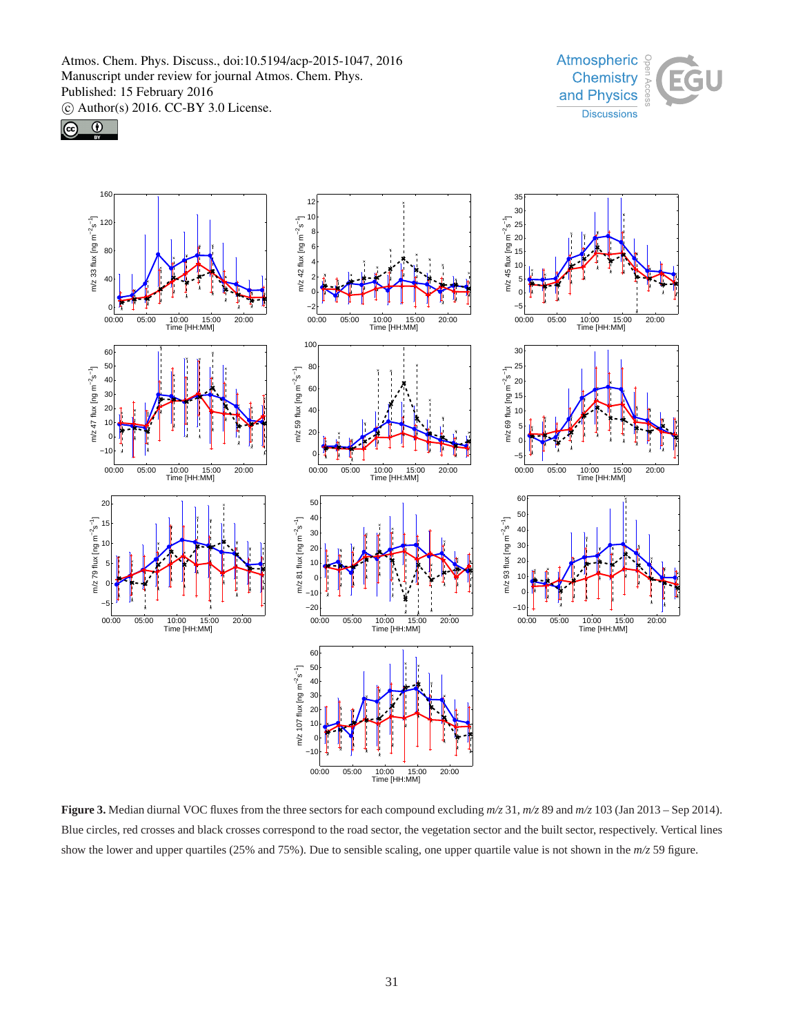





**Figure 3.** Median diurnal VOC fluxes from the three sectors for each compound excluding  $m/z$  31,  $m/z$  89 and  $m/z$  103 (Jan 2013 – Sep 2014). Blue circles, red crosses and black crosses correspond to the road sector, the vegetation sector and the built sector, respectively. Vertical lines show the lower and upper quartiles (25% and 75%). Due to sensible scaling, one upper quartile value is not shown in the *m/z* 59 figure.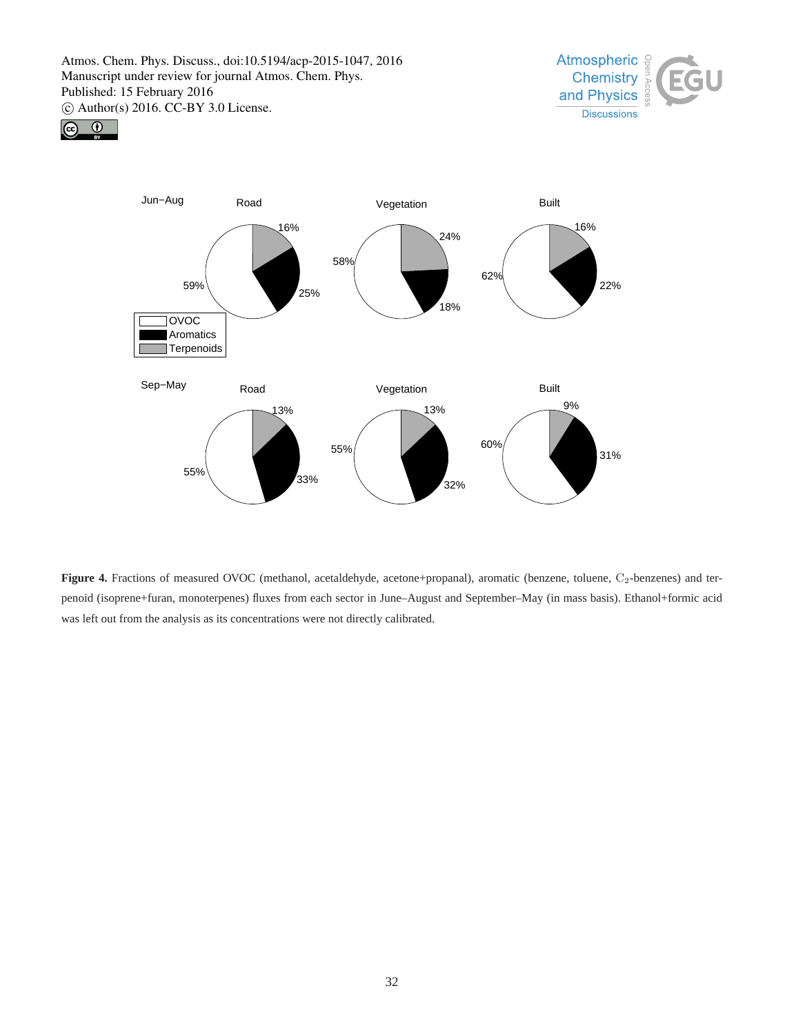





Figure 4. Fractions of measured OVOC (methanol, acetaldehyde, acetone+propanal), aromatic (benzene, toluene, C<sub>2</sub>-benzenes) and terpenoid (isoprene+furan, monoterpenes) fluxes from each sector in June–August and September–May (in mass basis). Ethanol+formic acid was left out from the analysis as its concentrations were not directly calibrated.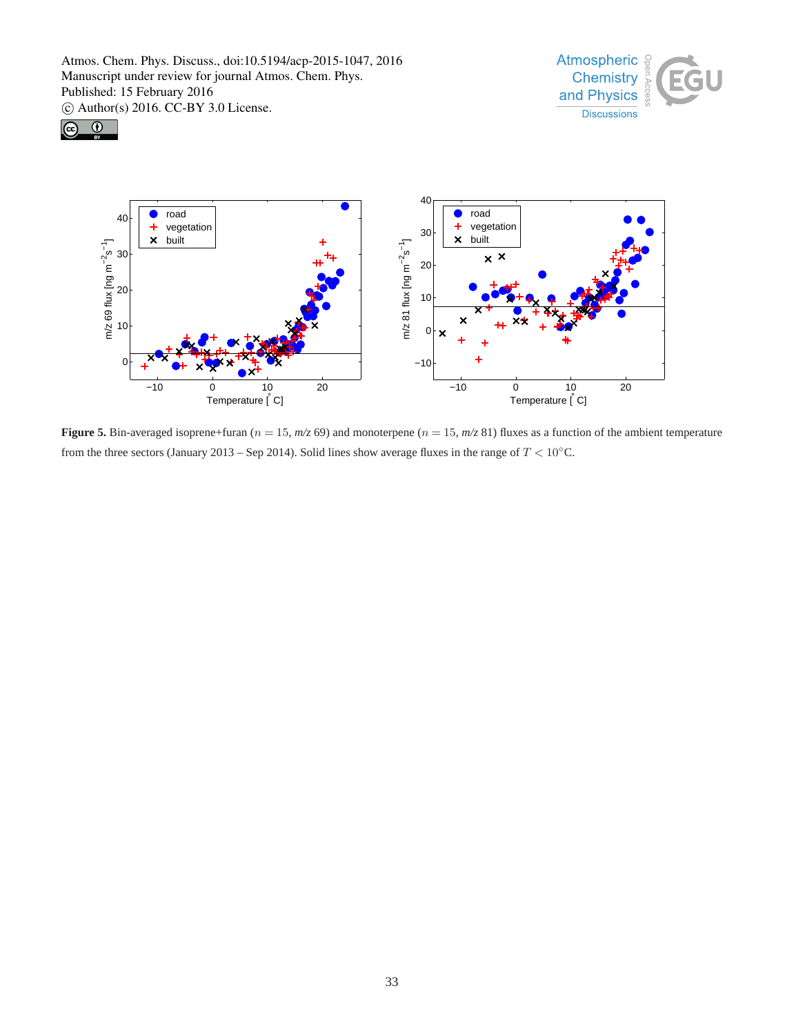





**Figure 5.** Bin-averaged isoprene+furan ( $n = 15$ ,  $m/z$  69) and monoterpene ( $n = 15$ ,  $m/z$  81) fluxes as a function of the ambient temperature from the three sectors (January 2013 – Sep 2014). Solid lines show average fluxes in the range of  $T < 10°$ C.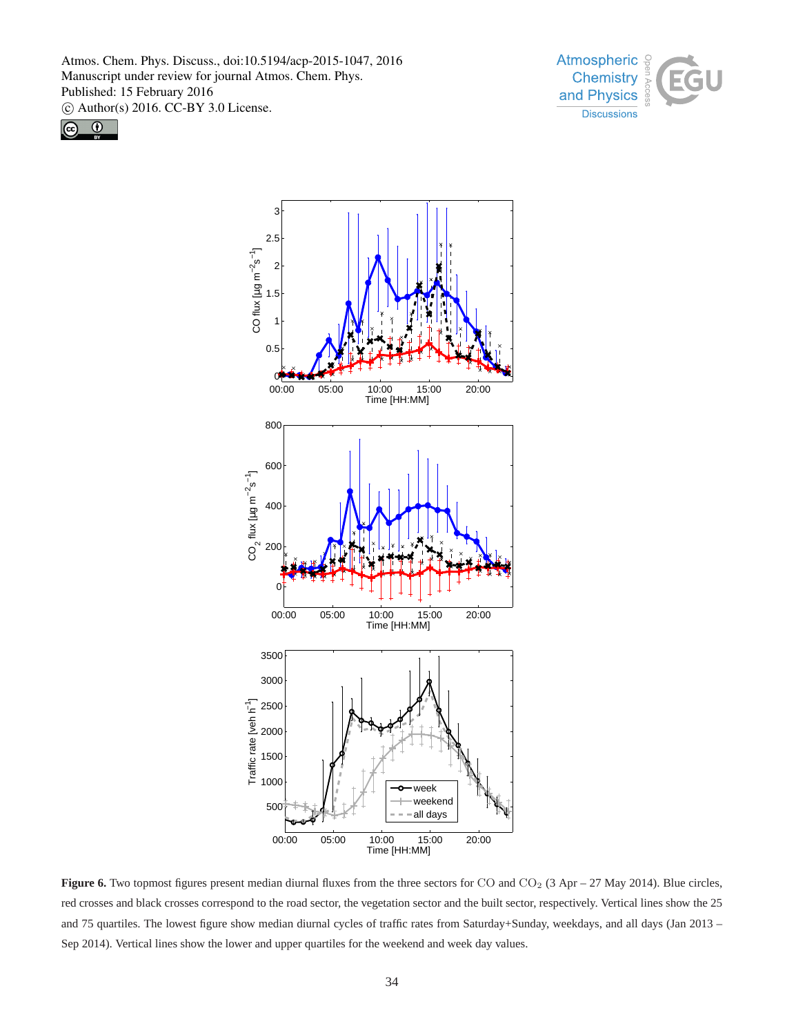





**Figure 6.** Two topmost figures present median diurnal fluxes from the three sectors for CO and CO<sub>2</sub> (3 Apr – 27 May 2014). Blue circles, red crosses and black crosses correspond to the road sector, the vegetation sector and the built sector, respectively. Vertical lines show the 25 and 75 quartiles. The lowest figure show median diurnal cycles of traffic rates from Saturday+Sunday, weekdays, and all days (Jan 2013 – Sep 2014). Vertical lines show the lower and upper quartiles for the weekend and week day values.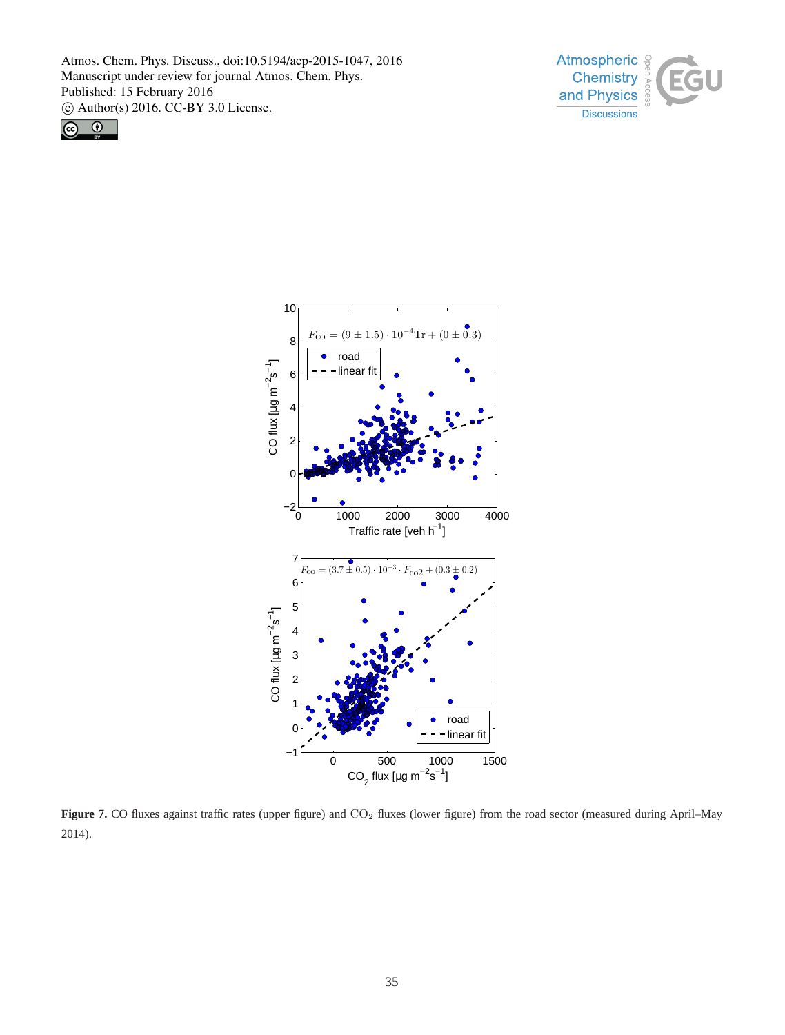





Figure 7. CO fluxes against traffic rates (upper figure) and CO<sub>2</sub> fluxes (lower figure) from the road sector (measured during April–May 2014).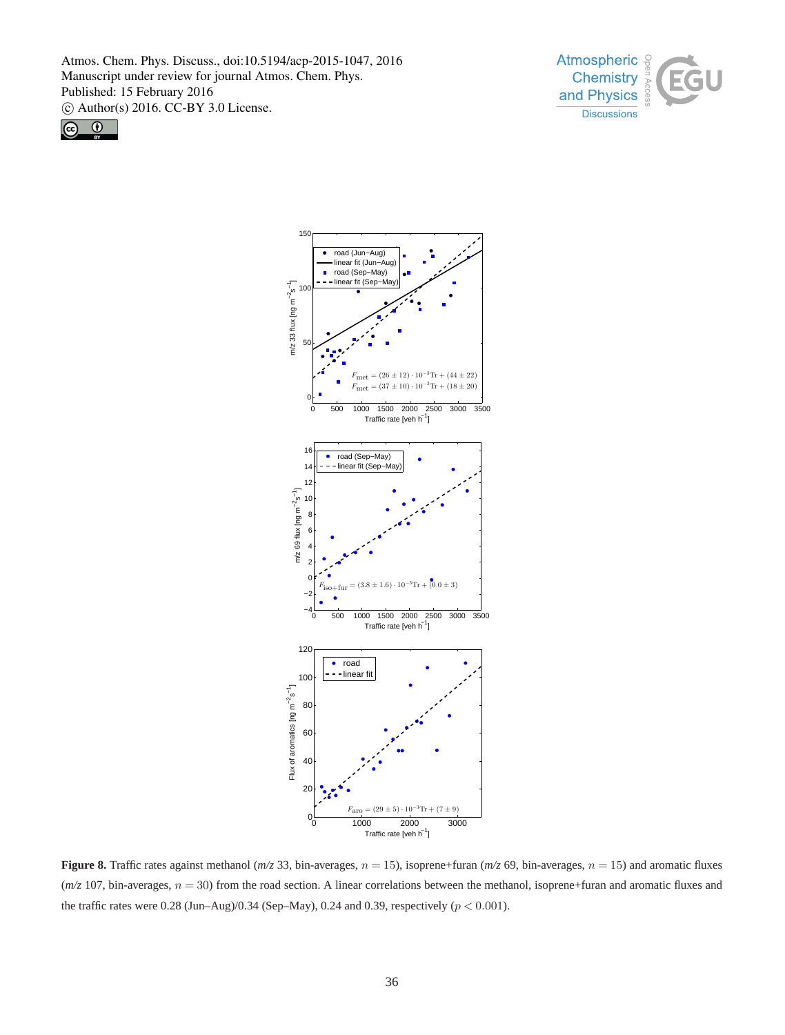





**Figure 8.** Traffic rates against methanol ( $m/z$  33, bin-averages,  $n = 15$ ), isoprene+furan ( $m/z$  69, bin-averages,  $n = 15$ ) and aromatic fluxes  $(m/z 107)$ , bin-averages,  $n = 30$ ) from the road section. A linear correlations between the methanol, isoprene+furan and aromatic fluxes and the traffic rates were 0.28 (Jun–Aug)/0.34 (Sep–May), 0.24 and 0.39, respectively ( $p < 0.001$ ).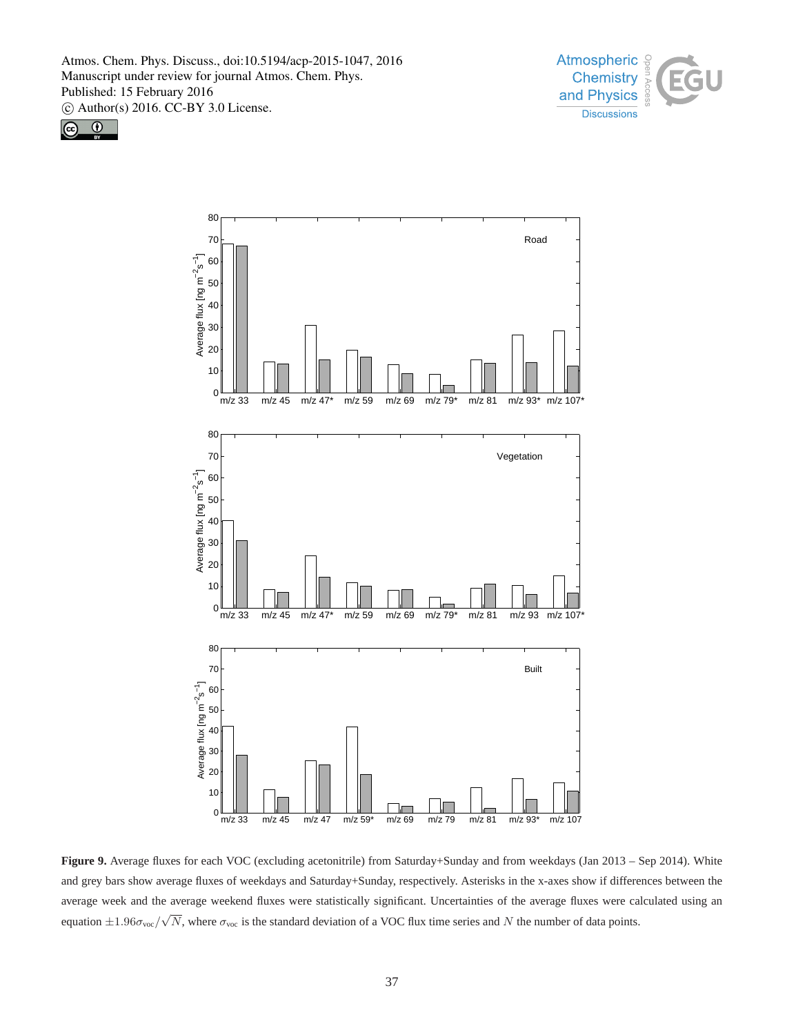





**Figure 9.** Average fluxes for each VOC (excluding acetonitrile) from Saturday+Sunday and from weekdays (Jan 2013 – Sep 2014). White and grey bars show average fluxes of weekdays and Saturday+Sunday, respectively. Asterisks in the x-axes show if differences between the average week and the average weekend fluxes were statistically significant. Uncertainties of the average fluxes were calculated using an equation  $\pm 1.96\sigma_{\text{voc}}/\sqrt{N}$ , where  $\sigma_{\text{voc}}$  is the standard deviation of a VOC flux time series and N the number of data points.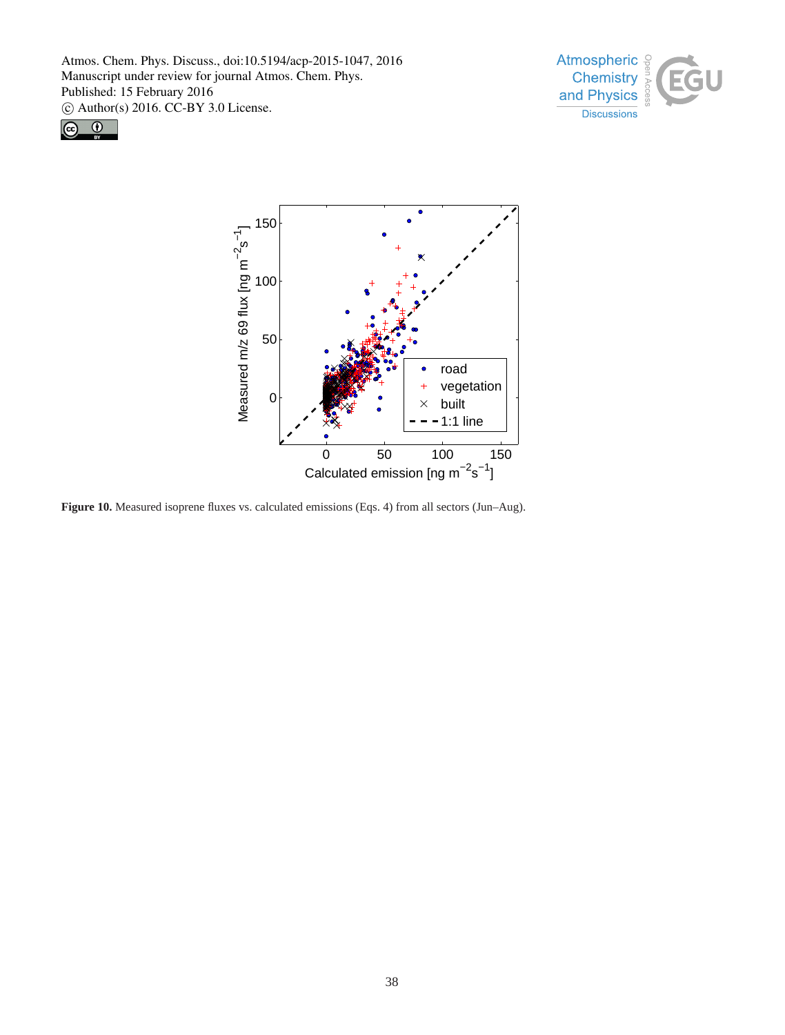





**Figure 10.** Measured isoprene fluxes vs. calculated emissions (Eqs. 4) from all sectors (Jun–Aug).